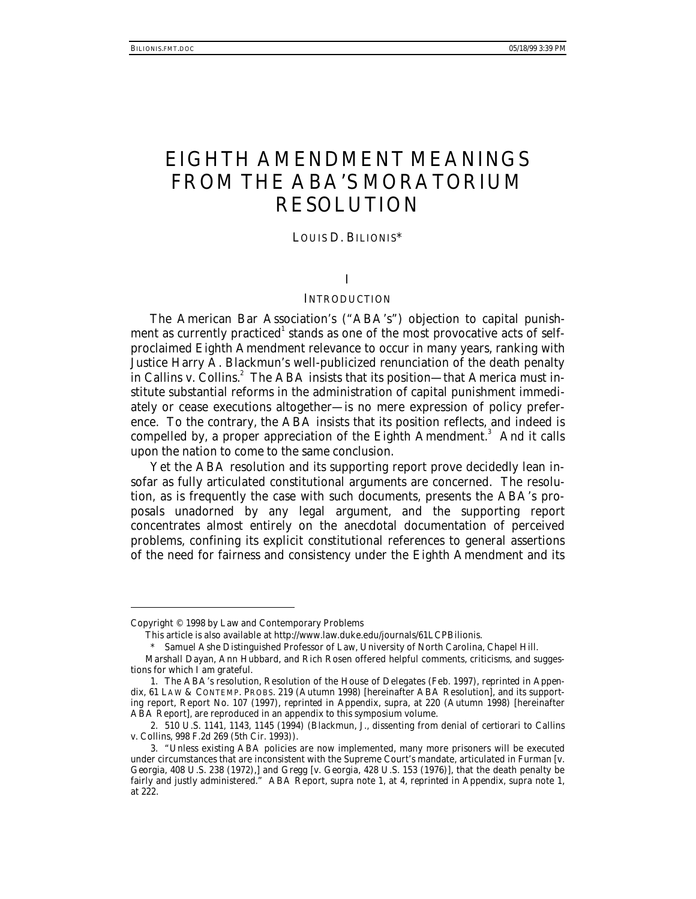# EIGHTH AMENDMENT MEANINGS FROM THE ABA'S MORATORIUM RESOLUTION

# LOUIS D. BILIONIS\*

## I

## **INTRODUCTION**

The American Bar Association's ("ABA's") objection to capital punishment as currently practiced<sup>1</sup> stands as one of the most provocative acts of selfproclaimed Eighth Amendment relevance to occur in many years, ranking with Justice Harry A. Blackmun's well-publicized renunciation of the death penalty in *Callins v. Collins.*<sup>2</sup> The ABA insists that its position—that America must institute substantial reforms in the administration of capital punishment immediately or cease executions altogether—is no mere expression of policy preference. To the contrary, the ABA insists that its position reflects, and indeed is compelled by, a proper appreciation of the Eighth Amendment.<sup>3</sup> And it calls upon the nation to come to the same conclusion.

Yet the ABA resolution and its supporting report prove decidedly lean insofar as fully articulated constitutional arguments are concerned. The resolution, as is frequently the case with such documents, presents the ABA's proposals unadorned by any legal argument, and the supporting report concentrates almost entirely on the anecdotal documentation of perceived problems, confining its explicit constitutional references to general assertions of the need for fairness and consistency under the Eighth Amendment and its

Copyright © 1998 by Law and Contemporary Problems

This article is also available at http://www.law.duke.edu/journals/61LCPBilionis.

<sup>\*</sup> Samuel Ashe Distinguished Professor of Law, University of North Carolina, Chapel Hill.

Marshall Dayan, Ann Hubbard, and Rich Rosen offered helpful comments, criticisms, and suggestions for which I am grateful.

<sup>1.</sup> The ABA's resolution, Resolution of the House of Delegates (Feb. 1997), *reprinted in Appen*dix, 61 LAW & CONTEMP. PROBS. 219 (Autumn 1998) [hereinafter ABA Resolution], and its supporting report, Report No. 107 (1997), *reprinted in Appendix*, *supra*, at 220 (Autumn 1998) [hereinafter ABA Report], are reproduced in an appendix to this symposium volume.

<sup>2. 510</sup> U.S. 1141, 1143, 1145 (1994) (Blackmun, J., dissenting from denial of *certiorari* to Callins v. Collins, 998 F.2d 269 (5th Cir. 1993)).

<sup>3. &</sup>quot;Unless existing ABA policies are now implemented, many more prisoners will be executed under circumstances that are inconsistent with the Supreme Court's mandate, articulated in *Furman* [*v. Georgia*, 408 U.S. 238 (1972),] and *Gregg* [*v. Georgia*, 428 U.S. 153 (1976)], that the death penalty be fairly and justly administered." ABA Report, *supra* note 1, at 4, *reprinted in Appendix*, *supra* note 1, at 222.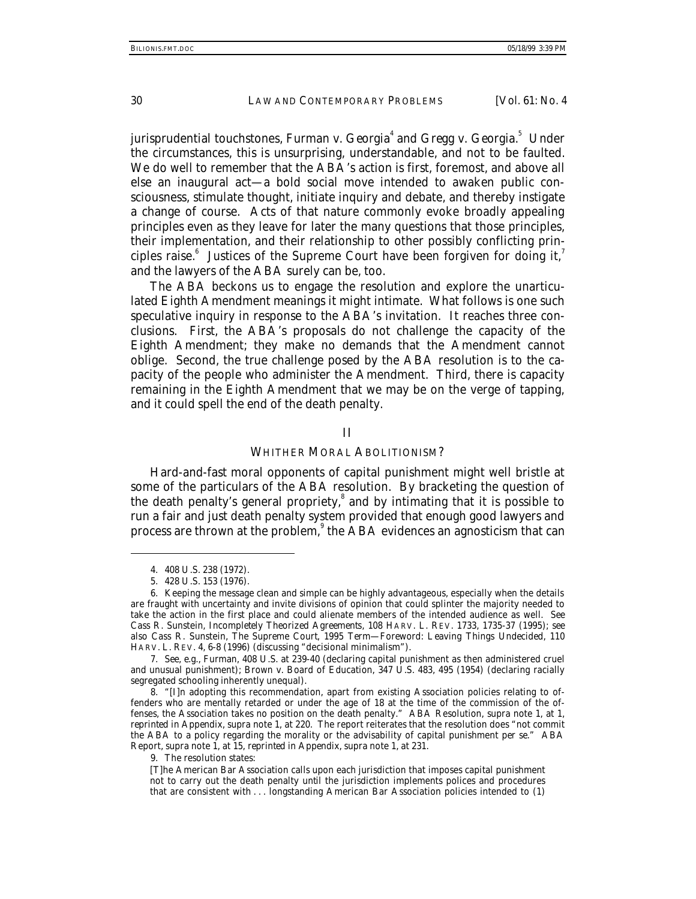jurisprudential touchstones, *Furman v. Georgia*<sup>4</sup> and *Gregg v. Georgia*.<sup>5</sup> Under the circumstances, this is unsurprising, understandable, and not to be faulted. We do well to remember that the ABA's action is first, foremost, and above all else an inaugural act—a bold social move intended to awaken public consciousness, stimulate thought, initiate inquiry and debate, and thereby instigate a change of course. Acts of that nature commonly evoke broadly appealing principles even as they leave for later the many questions that those principles, their implementation, and their relationship to other possibly conflicting principles raise. $6$  Justices of the Supreme Court have been forgiven for doing it,<sup>7</sup> and the lawyers of the ABA surely can be, too.

The ABA beckons us to engage the resolution and explore the unarticulated Eighth Amendment meanings it might intimate. What follows is one such speculative inquiry in response to the ABA's invitation. It reaches three conclusions. First, the ABA's proposals do not challenge the capacity of the Eighth Amendment; they make no demands that the Amendment cannot oblige. Second, the true challenge posed by the ABA resolution is to the capacity of the people who administer the Amendment. Third, there is capacity remaining in the Eighth Amendment that we may be on the verge of tapping, and it could spell the end of the death penalty.

#### II

#### WHITHER MORAL ABOLITIONISM?

Hard-and-fast moral opponents of capital punishment might well bristle at some of the particulars of the ABA resolution. By bracketing the question of the death penalty's general propriety, $^8$  and by intimating that it is possible to run a fair and just death penalty system provided that enough good lawyers and process are thrown at the problem,<sup>9</sup> the ABA evidences an agnosticism that can

<sup>4. 408</sup> U.S. 238 (1972).

<sup>5. 428</sup> U.S. 153 (1976).

<sup>6.</sup> Keeping the message clean and simple can be highly advantageous, especially when the details are fraught with uncertainty and invite divisions of opinion that could splinter the majority needed to take the action in the first place and could alienate members of the intended audience as well. *See* Cass R. Sunstein, *Incompletely Theorized Agreements*, 108 HARV. L. REV. 1733, 1735-37 (1995); *see also* Cass R. Sunstein, *The Supreme Court, 1995 Term—Foreword: Leaving Things Undecided*, 110 HARV. L. REV. 4, 6-8 (1996) (discussing "decisional minimalism").

<sup>7.</sup> *See, e.g*., *Furman*, 408 U.S. at 239-40 (declaring capital punishment as then administered cruel and unusual punishment); Brown v. Board of Education, 347 U.S. 483, 495 (1954) (declaring racially segregated schooling inherently unequal).

<sup>8. &</sup>quot;[I]n adopting this recommendation, apart from existing Association policies relating to offenders who are mentally retarded or under the age of 18 at the time of the commission of the offenses, the Association takes no position on the death penalty." ABA Resolution, *supra* note 1, at 1, *reprinted in Appendix*, *supra* note 1, at 220. The report reiterates that the resolution does "not commit the ABA to a policy regarding the morality or the advisability of capital punishment *per se*." ABA Report, *supra* note 1, at 15, *reprinted in Appendix*, *supra* note 1, at 231.

<sup>9.</sup> The resolution states:

<sup>[</sup>T]he American Bar Association calls upon each jurisdiction that imposes capital punishment not to carry out the death penalty *until* the jurisdiction implements polices and procedures that are consistent with . . . longstanding American Bar Association policies intended to (1)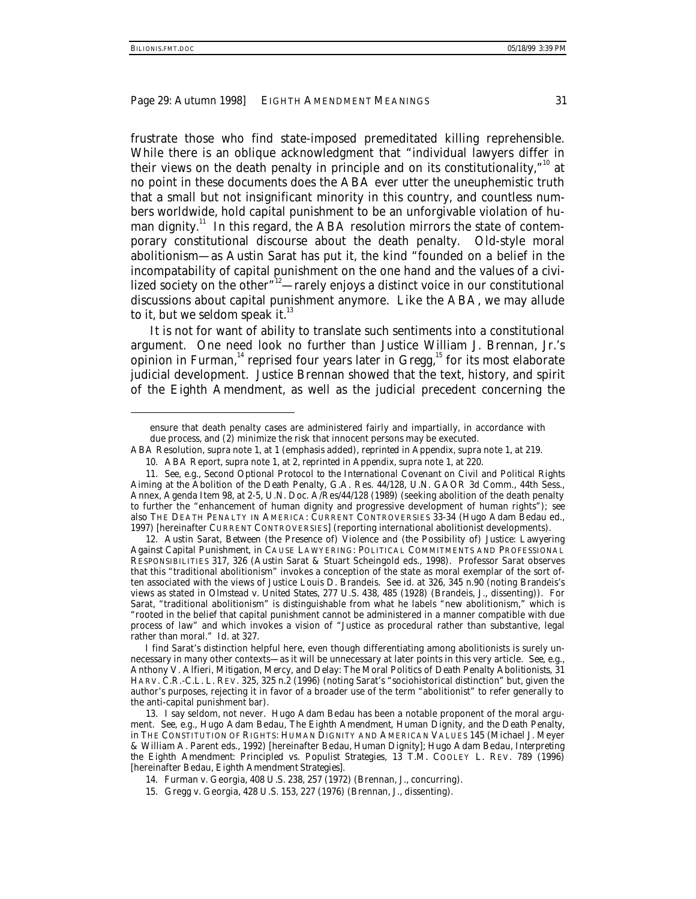frustrate those who find state-imposed premeditated killing reprehensible. While there is an oblique acknowledgment that "individual lawyers differ in their views on the death penalty in principle and on its constitutionality,"<sup>10</sup> at no point in these documents does the ABA ever utter the uneuphemistic truth that a small but not insignificant minority in this country, and countless numbers worldwide, hold capital punishment to be an unforgivable violation of human dignity.<sup>11</sup> In this regard, the ABA resolution mirrors the state of contemporary constitutional discourse about the death penalty. Old-style moral abolitionism—as Austin Sarat has put it, the kind "founded on a belief in the incompatability of capital punishment on the one hand and the values of a civilized society on the other"<sup>12</sup>—rarely enjoys a distinct voice in our constitutional discussions about capital punishment anymore. Like the ABA, we may allude to it, but we seldom speak it.<sup>13</sup>

It is not for want of ability to translate such sentiments into a constitutional argument. One need look no further than Justice William J. Brennan, Jr.'s opinion in *Furman*, 14 reprised four years later in *Gregg*, 15 for its most elaborate judicial development. Justice Brennan showed that the text, history, and spirit of the Eighth Amendment, as well as the judicial precedent concerning the

ensure that death penalty cases are administered fairly and impartially, in accordance with due process, and (2) minimize the risk that innocent persons may be executed.

ABA Resolution, *supra* note 1, at 1 (emphasis added), *reprinted in Appendix*, *supra* note 1, at 219.

<sup>10.</sup> ABA Report, *supra* note 1, at 2, *reprinted in Appendix*, *supra* note 1, at 220.

<sup>11.</sup> *See, e.g.*, *Second Optional Protocol to the International Covenant on Civil and Political Rights Aiming at the Abolition of the Death Penalty*, G.A. Res. 44/128, U.N. GAOR 3d Comm., 44th Sess., Annex, Agenda Item 98, at 2-5, U.N. Doc. A/Res/44/128 (1989) (seeking abolition of the death penalty to further the "enhancement of human dignity and progressive development of human rights"); *see also* THE DEATH PENALTY IN AMERICA: CURRENT CONTROVERSIES 33-34 (Hugo Adam Bedau ed., 1997) [hereinafter CURRENT CONTROVERSIES] (reporting international abolitionist developments).

<sup>12.</sup> Austin Sarat, *Between (the Presence of) Violence and (the Possibility of) Justice: Lawyering Against Capital Punishment*, *in* CAUSE LAWYERING: POLITICAL COMMITMENTS AND PROFESSIONAL RESPONSIBILITIES 317, 326 (Austin Sarat & Stuart Scheingold eds., 1998). Professor Sarat observes that this "traditional abolitionism" invokes a conception of the state as moral exemplar of the sort often associated with the views of Justice Louis D. Brandeis. *See id*. at 326, 345 n.90 (noting Brandeis's views as stated in *Olmstead v. United States*, 277 U.S. 438, 485 (1928) (Brandeis, J., dissenting)). For Sarat, "traditional abolitionism" is distinguishable from what he labels "new abolitionism," which is "rooted in the belief that capital punishment cannot be administered in a manner compatible with due process of law" and which invokes a vision of "Justice as procedural rather than substantive, legal rather than moral." *Id*. at 327.

I find Sarat's distinction helpful here, even though differentiating among abolitionists is surely unnecessary in many other contexts—as it will be unnecessary at later points in this very article. *See, e.g.*, Anthony V. Alfieri, *Mitigation, Mercy, and Delay: The Moral Politics of Death Penalty Abolitionists*, 31 HARV. C.R.-C.L. L. REV. 325, 325 n.2 (1996) (noting Sarat's "sociohistorical distinction" but, given the author's purposes, rejecting it in favor of a broader use of the term "abolitionist" to refer generally to the anti-capital punishment bar).

<sup>13.</sup> I say seldom, not never. Hugo Adam Bedau has been a notable proponent of the moral argument. *See, e.g.*, Hugo Adam Bedau, *The Eighth Amendment, Human Dignity, and the Death Penalty*, *in* THE CONSTITUTION OF RIGHTS: HUMAN DIGNITY AND AMERICAN VALUES 145 (Michael J. Meyer & William A. Parent eds., 1992) [hereinafter Bedau, *Human Dignity*]; Hugo Adam Bedau, *Interpreting the Eighth Amendment: Principled vs. Populist Strategies*, 13 T.M. COOLEY L. REV. 789 (1996) [hereinafter Bedau, *Eighth Amendment Strategies*].

<sup>14.</sup> Furman v. Georgia, 408 U.S. 238, 257 (1972) (Brennan, J., concurring).

<sup>15.</sup> Gregg v. Georgia, 428 U.S. 153, 227 (1976) (Brennan, J., dissenting).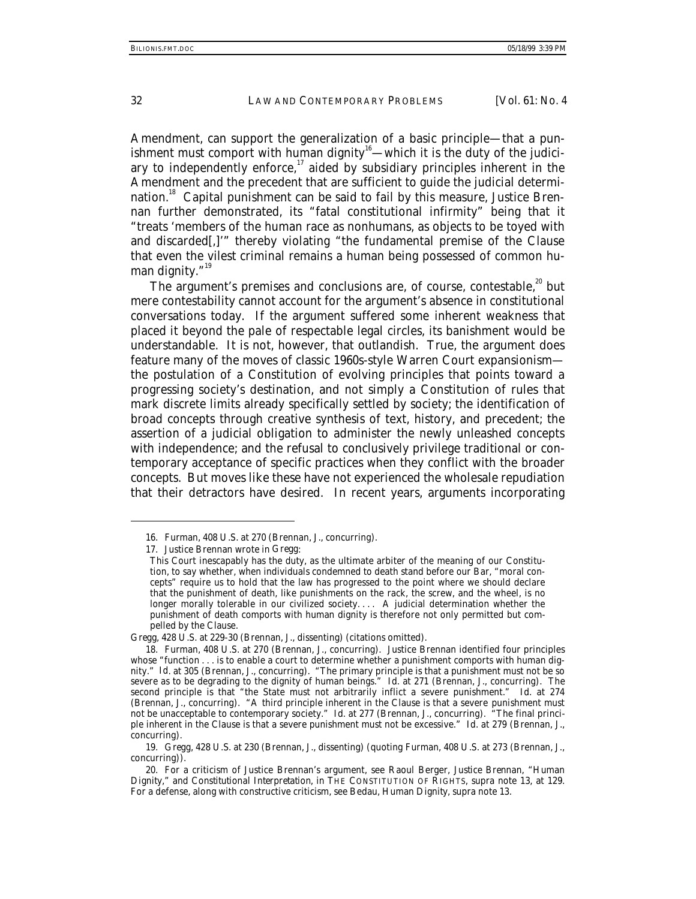Amendment, can support the generalization of a basic principle—that a punishment must comport with human dignity $16$ —which it is the duty of the judiciary to independently enforce, $17$  aided by subsidiary principles inherent in the Amendment and the precedent that are sufficient to guide the judicial determination.<sup>18</sup> Capital punishment can be said to fail by this measure, Justice Brennan further demonstrated, its "fatal constitutional infirmity" being that it "treats 'members of the human race as nonhumans, as objects to be toyed with and discarded[,]'" thereby violating "the fundamental premise of the Clause that even the vilest criminal remains a human being possessed of common human dignity."<sup>19</sup>

The argument's premises and conclusions are, of course, contestable, $20$  but mere contestability cannot account for the argument's absence in constitutional conversations today. If the argument suffered some inherent weakness that placed it beyond the pale of respectable legal circles, its banishment would be understandable. It is not, however, that outlandish. True, the argument does feature many of the moves of classic 1960s-style Warren Court expansionism the postulation of a Constitution of evolving principles that points toward a progressing society's destination, and not simply a Constitution of rules that mark discrete limits already specifically settled by society; the identification of broad concepts through creative synthesis of text, history, and precedent; the assertion of a judicial obligation to administer the newly unleashed concepts with independence; and the refusal to conclusively privilege traditional or contemporary acceptance of specific practices when they conflict with the broader concepts. But moves like these have not experienced the wholesale repudiation that their detractors have desired. In recent years, arguments incorporating

*Gregg*, 428 U.S. at 229-30 (Brennan, J., dissenting) (citations omitted).

<sup>16.</sup> *Furman*, 408 U.S. at 270 (Brennan, J., concurring).

<sup>17.</sup> Justice Brennan wrote in *Gregg*:

This Court inescapably has the duty, as the ultimate arbiter of the meaning of our Constitution, to say whether, when individuals condemned to death stand before our Bar, "moral concepts" require us to hold that the law has progressed to the point where we should declare that the punishment of death, like punishments on the rack, the screw, and the wheel, is no longer morally tolerable in our civilized society.... A judicial determination whether the punishment of death comports with human dignity is therefore not only permitted but compelled by the Clause.

<sup>18.</sup> *Furman*, 408 U.S. at 270 (Brennan, J., concurring). Justice Brennan identified four principles whose "function . . . is to enable a court to determine whether a punishment comports with human dignity." *Id*. at 305 (Brennan, J., concurring). "The primary principle is that a punishment must not be so severe as to be degrading to the dignity of human beings." *Id*. at 271 (Brennan, J., concurring). The second principle is that "the State must not arbitrarily inflict a severe punishment." *Id*. at 274 (Brennan, J., concurring). "A third principle inherent in the Clause is that a severe punishment must not be unacceptable to contemporary society." *Id*. at 277 (Brennan, J., concurring). "The final principle inherent in the Clause is that a severe punishment must not be excessive." *Id*. at 279 (Brennan, J., concurring).

<sup>19.</sup> *Gregg*, 428 U.S. at 230 (Brennan, J., dissenting) (quoting *Furman*, 408 U.S. at 273 (Brennan, J., concurring)).

<sup>20.</sup> For a criticism of Justice Brennan's argument, see Raoul Berger, *Justice Brennan, "Human Dignity," and Constitutional Interpretation*, *in* THE CONSTITUTION OF RIGHTS, *supra* note 13, at 129. For a defense, along with constructive criticism, see Bedau, *Human Dignity*, *supra* note 13.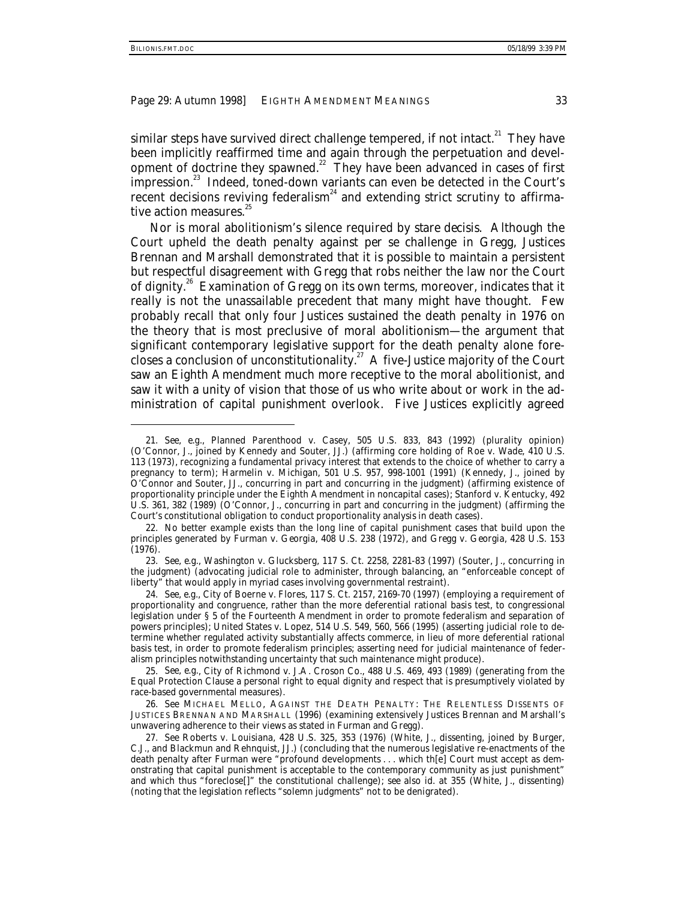1

similar steps have survived direct challenge tempered, if not intact.<sup>21</sup> They have been implicitly reaffirmed time and again through the perpetuation and development of doctrine they spawned.<sup>22</sup> They have been advanced in cases of first impression.23 Indeed, toned-down variants can even be detected in the Court's recent decisions reviving federalism<sup>24</sup> and extending strict scrutiny to affirmative action measures.<sup>25</sup>

Nor is moral abolitionism's silence required by *stare decisis*. Although the Court upheld the death penalty against *per se* challenge in *Gregg*, Justices Brennan and Marshall demonstrated that it is possible to maintain a persistent but respectful disagreement with *Gregg* that robs neither the law nor the Court of dignity.26 Examination of *Gregg* on its own terms, moreover, indicates that it really is not the unassailable precedent that many might have thought. Few probably recall that only four Justices sustained the death penalty in 1976 on the theory that is most preclusive of moral abolitionism—the argument that significant contemporary legislative support for the death penalty alone forecloses a conclusion of unconstitutionality.<sup>27</sup> A five-Justice majority of the Court saw an Eighth Amendment much more receptive to the moral abolitionist, and saw it with a unity of vision that those of us who write about or work in the administration of capital punishment overlook. Five Justices explicitly agreed

<sup>21.</sup> *See, e.g.*, Planned Parenthood v. Casey, 505 U.S. 833, 843 (1992) (plurality opinion) (O'Connor, J., joined by Kennedy and Souter, JJ.) (affirming core holding of *Roe v. Wade*, 410 U.S. 113 (1973), recognizing a fundamental privacy interest that extends to the choice of whether to carry a pregnancy to term); Harmelin v. Michigan, 501 U.S. 957, 998-1001 (1991) (Kennedy, J., joined by O'Connor and Souter, JJ., concurring in part and concurring in the judgment) (affirming existence of proportionality principle under the Eighth Amendment in noncapital cases); Stanford v. Kentucky, 492 U.S. 361, 382 (1989) (O'Connor, J., concurring in part and concurring in the judgment) (affirming the Court's constitutional obligation to conduct proportionality analysis in death cases).

<sup>22.</sup> No better example exists than the long line of capital punishment cases that build upon the principles generated by *Furman v. Georgia*, 408 U.S. 238 (1972), and *Gregg v. Georgia*, 428 U.S. 153 (1976).

<sup>23.</sup> *See, e.g.*, Washington v. Glucksberg, 117 S. Ct. 2258, 2281-83 (1997) (Souter, J., concurring in the judgment) (advocating judicial role to administer, through balancing, an "enforceable concept of liberty" that would apply in myriad cases involving governmental restraint).

<sup>24.</sup> *See, e.g.*, City of Boerne v. Flores, 117 S. Ct. 2157, 2169-70 (1997) (employing a requirement of proportionality and congruence, rather than the more deferential rational basis test, to congressional legislation under § 5 of the Fourteenth Amendment in order to promote federalism and separation of powers principles); United States v. Lopez, 514 U.S. 549, 560, 566 (1995) (asserting judicial role to determine whether regulated activity substantially affects commerce, in lieu of more deferential rational basis test, in order to promote federalism principles; asserting need for judicial maintenance of federalism principles notwithstanding uncertainty that such maintenance might produce).

<sup>25.</sup> *See, e.g.*, City of Richmond v. J.A. Croson Co., 488 U.S. 469, 493 (1989) (generating from the Equal Protection Clause a personal right to equal dignity and respect that is presumptively violated by race-based governmental measures).

<sup>26.</sup> *See* MICHAEL MELLO, AGAINST THE DEATH PENALTY: THE RELENTLESS DISSENTS OF JUSTICES BRENNAN AND MARSHALL (1996) (examining extensively Justices Brennan and Marshall's unwavering adherence to their views as stated in *Furman* and *Gregg*).

<sup>27.</sup> *See* Roberts v. Louisiana, 428 U.S. 325, 353 (1976) (White, J., dissenting, joined by Burger, C.J., and Blackmun and Rehnquist, JJ.) (concluding that the numerous legislative re-enactments of the death penalty after *Furman* were "profound developments . . . which th[e] Court must accept as demonstrating that capital punishment is acceptable to the contemporary community as just punishment" and which thus "foreclose[]" the constitutional challenge); *see also id.* at 355 (White, J., dissenting) (noting that the legislation reflects "solemn judgments" not to be denigrated).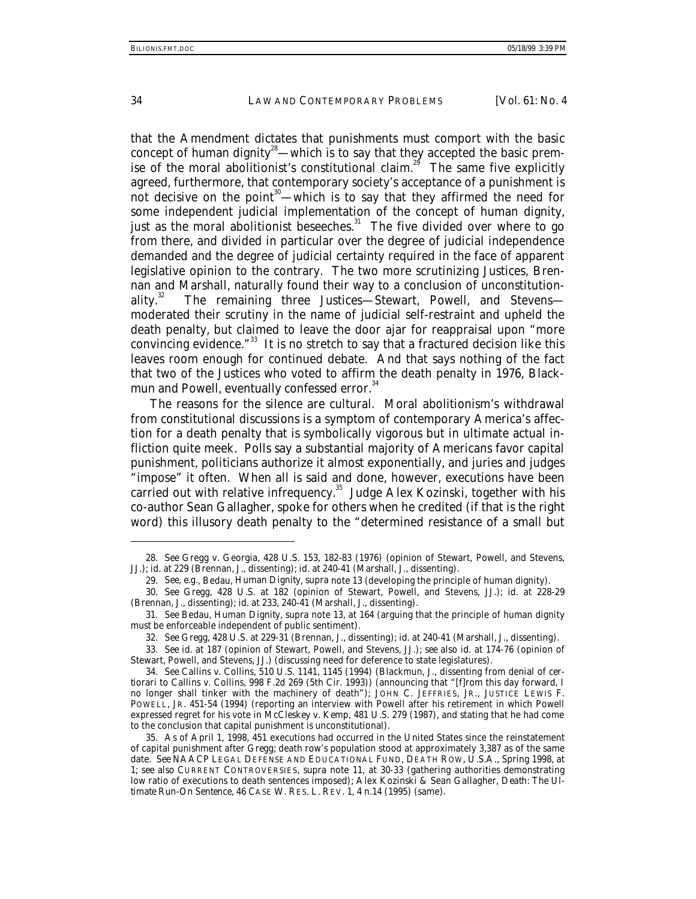that the Amendment dictates that punishments must comport with the basic concept of human dignity<sup>28</sup>—which is to say that they accepted the basic premise of the moral abolitionist's constitutional claim.<sup>29</sup> The same five explicitly agreed, furthermore, that contemporary society's acceptance of a punishment is not decisive on the point $30$ —which is to say that they affirmed the need for some independent judicial implementation of the concept of human dignity, just as the moral abolitionist beseeches. $31$  The five divided over where to go from there, and divided in particular over the degree of judicial independence demanded and the degree of judicial certainty required in the face of apparent legislative opinion to the contrary. The two more scrutinizing Justices, Brennan and Marshall, naturally found their way to a conclusion of unconstitution-<br>ality.<sup>32</sup> The remaining three Justices—Stewart, Powell, and Stevens— The remaining three Justices—Stewart, Powell, and Stevens moderated their scrutiny in the name of judicial self-restraint and upheld the death penalty, but claimed to leave the door ajar for reappraisal upon "more convincing evidence."33 It is no stretch to say that a fractured decision like this leaves room enough for continued debate. And that says nothing of the fact that two of the Justices who voted to affirm the death penalty in 1976, Blackmun and Powell, eventually confessed error.<sup>34</sup>

The reasons for the silence are cultural. Moral abolitionism's withdrawal from constitutional discussions is a symptom of contemporary America's affection for a death penalty that is symbolically vigorous but in ultimate actual infliction quite meek. Polls say a substantial majority of Americans favor capital punishment, politicians authorize it almost exponentially, and juries and judges "impose" it often. When all is said and done, however, executions have been carried out with relative infrequency.<sup>35</sup> Judge Alex Kozinski, together with his co-author Sean Gallagher, spoke for others when he credited (if that is the right word) this illusory death penalty to the "determined resistance of a small but

<sup>28.</sup> *See* Gregg v. Georgia, 428 U.S. 153, 182-83 (1976) (opinion of Stewart, Powell, and Stevens, JJ.); *id*. at 229 (Brennan, J., dissenting); *id*. at 240-41 (Marshall, J., dissenting).

<sup>29.</sup> *See, e.g.*, Bedau, *Human Dignity*, *supra* note 13 (developing the principle of human dignity).

<sup>30.</sup> *See Gregg*, 428 U.S. at 182 (opinion of Stewart, Powell, and Stevens, JJ.); *id*. at 228-29 (Brennan, J., dissenting); *id*. at 233, 240-41 (Marshall, J., dissenting).

<sup>31.</sup> *See* Bedau, *Human Dignity*, *supra* note 13, at 164 (arguing that the principle of human dignity must be enforceable independent of public sentiment).

<sup>32.</sup> *See Gregg*, 428 U.S. at 229-31 (Brennan, J., dissenting); *id*. at 240-41 (Marshall, J., dissenting).

<sup>33.</sup> *See id.* at 187 (opinion of Stewart, Powell, and Stevens, JJ.); *see also id*. at 174-76 (opinion of Stewart, Powell, and Stevens, JJ.) (discussing need for deference to state legislatures).

<sup>34.</sup> *See* Callins v. Collins, 510 U.S. 1141, 1145 (1994) (Blackmun, J., dissenting from denial of *certiorari* to Callins v. Collins, 998 F.2d 269 (5th Cir. 1993)) (announcing that "[f]rom this day forward, I no longer shall tinker with the machinery of death"); JOHN C. JEFFRIES, JR., JUSTICE LEWIS F. POWELL, JR. 451-54 (1994) (reporting an interview with Powell after his retirement in which Powell expressed regret for his vote in *McCleskey v. Kemp*, 481 U.S. 279 (1987), and stating that he had come to the conclusion that capital punishment is unconstitutional).

<sup>35.</sup> As of April 1, 1998, 451 executions had occurred in the United States since the reinstatement of capital punishment after *Gregg*; death row's population stood at approximately 3,387 as of the same date. *See* NAACP LEGAL DEFENSE AND EDUCATIONAL FUND, DEATH ROW, U.S.A., Spring 1998, at 1; *see also* CURRENT CONTROVERSIES, *supra* note 11, at 30-33 (gathering authorities demonstrating low ratio of executions to death sentences imposed); Alex Kozinski & Sean Gallagher, *Death: The Ultimate Run-On Sentence*, 46 CASE W. RES. L. REV. 1, 4 n.14 (1995) (same).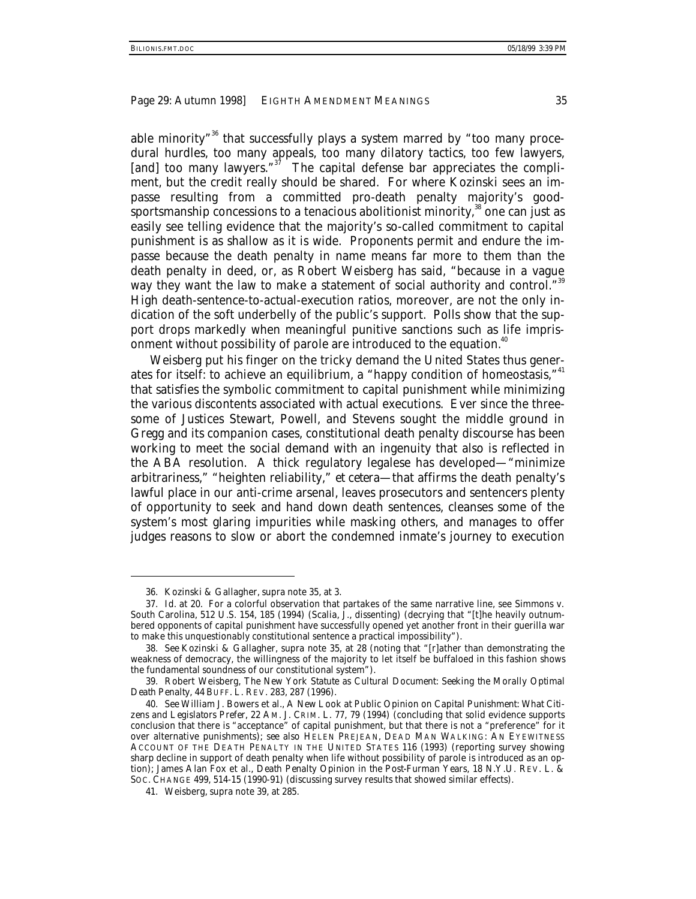able minority"<sup>36</sup> that successfully plays a system marred by "too many procedural hurdles, too many appeals, too many dilatory tactics, too few lawyers, [and] too many lawyers."<sup>37</sup> The capital defense bar appreciates the compliment, but the credit really should be shared. For where Kozinski sees an impasse resulting from a committed pro-death penalty majority's goodsportsmanship concessions to a tenacious abolitionist minority, $\frac{38}{3}$  one can just as easily see telling evidence that the majority's so-called commitment to capital punishment is as shallow as it is wide. Proponents permit and endure the impasse because the death penalty in name means far more to them than the death penalty in deed, or, as Robert Weisberg has said, "because in a vague way they want the law to make a statement of social authority and control."<sup>39</sup> High death-sentence-to-actual-execution ratios, moreover, are not the only indication of the soft underbelly of the public's support. Polls show that the support drops markedly when meaningful punitive sanctions such as life imprisonment without possibility of parole are introduced to the equation.<sup>40</sup>

Weisberg put his finger on the tricky demand the United States thus generates for itself: to achieve an equilibrium, a "happy condition of homeostasis,"<sup>41</sup> that satisfies the symbolic commitment to capital punishment while minimizing the various discontents associated with actual executions. Ever since the threesome of Justices Stewart, Powell, and Stevens sought the middle ground in *Gregg* and its companion cases, constitutional death penalty discourse has been working to meet the social demand with an ingenuity that also is reflected in the ABA resolution. A thick regulatory legalese has developed—"minimize arbitrariness," "heighten reliability," *et cetera*—that affirms the death penalty's lawful place in our anti-crime arsenal, leaves prosecutors and sentencers plenty of opportunity to seek and hand down death sentences, cleanses some of the system's most glaring impurities while masking others, and manages to offer judges reasons to slow or abort the condemned inmate's journey to execution

<sup>36.</sup> Kozinski & Gallagher, *supra* note 35, at 3.

<sup>37.</sup> *Id*. at 20. For a colorful observation that partakes of the same narrative line, see Simmons v. South Carolina, 512 U.S. 154, 185 (1994) (Scalia, J., dissenting) (decrying that "[t]he heavily outnumbered opponents of capital punishment have successfully opened yet another front in their guerilla war to make this unquestionably constitutional sentence a practical impossibility").

<sup>38.</sup> *See* Kozinski & Gallagher, *supra* note 35, at 28 (noting that "[r]ather than demonstrating the weakness of democracy, the willingness of the majority to let itself be buffaloed in this fashion shows the fundamental soundness of our constitutional system").

<sup>39.</sup> Robert Weisberg, *The New York Statute as Cultural Document: Seeking the Morally Optimal Death Penalty*, 44 BUFF. L. REV. 283, 287 (1996).

<sup>40.</sup> *See* William J. Bowers et al., *A New Look at Public Opinion on Capital Punishment: What Citizens and Legislators Prefer*, 22 AM. J. CRIM. L. 77, 79 (1994) (concluding that solid evidence supports conclusion that there is "acceptance" of capital punishment, but that there is not a "preference" for it over alternative punishments); *see also* HELEN PREJEAN, DEAD MAN WALKING: AN EYEWITNESS ACCOUNT OF THE DEATH PENALTY IN THE UNITED STATES 116 (1993) (reporting survey showing sharp decline in support of death penalty when life without possibility of parole is introduced as an option); James Alan Fox et al., *Death Penalty Opinion in the Post-*Furman *Years*, 18 N.Y.U. REV. L. & SOC. CHANGE 499, 514-15 (1990-91) (discussing survey results that showed similar effects).

<sup>41.</sup> Weisberg, *supra* note 39, at 285.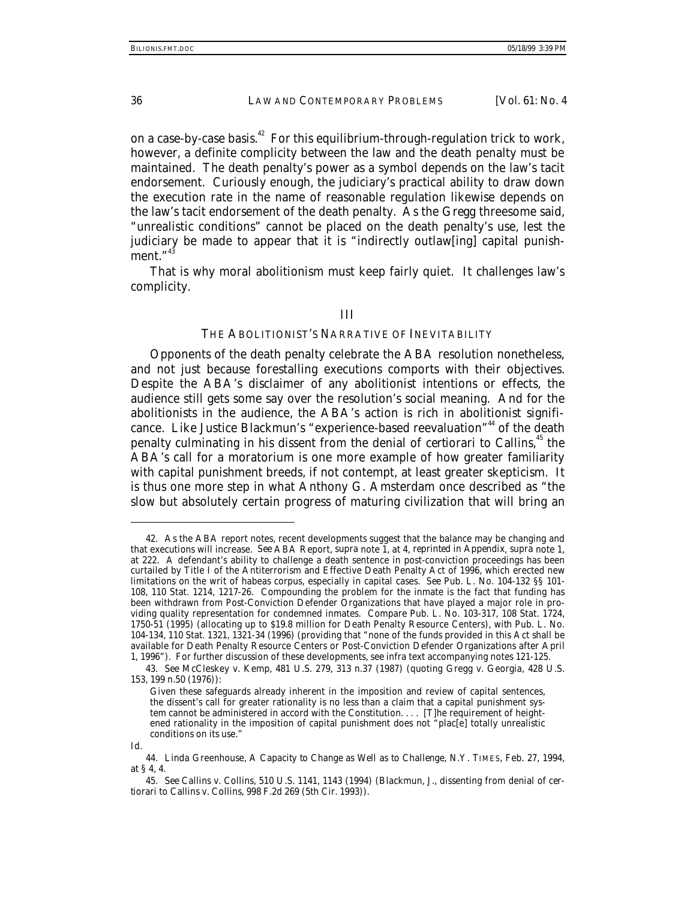on a case-by-case basis.<sup>42</sup> For this equilibrium-through-regulation trick to work, however, a definite complicity between the law and the death penalty must be maintained. The death penalty's power as a symbol depends on the law's tacit endorsement. Curiously enough, the judiciary's practical ability to draw down the execution rate in the name of reasonable regulation likewise depends on the law's tacit endorsement of the death penalty. As the *Gregg* threesome said, "unrealistic conditions" cannot be placed on the death penalty's use, lest the judiciary be made to appear that it is "indirectly outlaw[ing] capital punishment."<sup>43</sup>

That is why moral abolitionism must keep fairly quiet. It challenges law's complicity.

#### THE ABOLITIONIST'S NARRATIVE OF INEVITABILITY

Opponents of the death penalty celebrate the ABA resolution nonetheless, and not just because forestalling executions comports with their objectives. Despite the ABA's disclaimer of any abolitionist intentions or effects, the audience still gets some say over the resolution's social meaning. And for the abolitionists in the audience, the ABA's action is rich in abolitionist significance. Like Justice Blackmun's "experience-based reevaluation"44 of the death penalty culminating in his dissent from the denial of *certiorari* to *Callins*, 45 the ABA's call for a moratorium is one more example of how greater familiarity with capital punishment breeds, if not contempt, at least greater skepticism. It is thus one more step in what Anthony G. Amsterdam once described as "the slow but absolutely certain progress of maturing civilization that will bring an

III

<sup>42.</sup> As the ABA report notes, recent developments suggest that the balance may be changing and that executions will increase. *See* ABA Report, *supra* note 1, at 4, *reprinted in Appendix*, *supra* note 1, at 222. A defendant's ability to challenge a death sentence in post-conviction proceedings has been curtailed by Title I of the Antiterrorism and Effective Death Penalty Act of 1996, which erected new limitations on the writ of habeas corpus, especially in capital cases. *See* Pub. L. No. 104-132 §§ 101- 108, 110 Stat. 1214, 1217-26. Compounding the problem for the inmate is the fact that funding has been withdrawn from Post-Conviction Defender Organizations that have played a major role in providing quality representation for condemned inmates. *Compare* Pub. L. No. 103-317, 108 Stat. 1724, 1750-51 (1995) (allocating up to \$19.8 million for Death Penalty Resource Centers), *with* Pub. L. No. 104-134, 110 Stat. 1321, 1321-34 (1996) (providing that "none of the funds provided in this Act shall be available for Death Penalty Resource Centers or Post-Conviction Defender Organizations after April 1, 1996"). For further discussion of these developments, see *infra* text accompanying notes 121-125.

<sup>43.</sup> *See* McCleskey v. Kemp, 481 U.S. 279, 313 n.37 (1987) (quoting Gregg v. Georgia, 428 U.S. 153, 199 n.50 (1976)):

Given these safeguards already inherent in the imposition and review of capital sentences, the dissent's call for greater rationality is no less than a claim that a capital punishment system cannot be administered in accord with the Constitution. . . . [T]he requirement of heightened rationality in the imposition of capital punishment does not "plac[e] totally unrealistic conditions on its use."

*Id*.

<sup>44.</sup> Linda Greenhouse, *A Capacity to Change as Well as to Challenge*, N.Y. TIMES, Feb. 27, 1994, at § 4, 4.

<sup>45.</sup> *See* Callins v. Collins, 510 U.S. 1141, 1143 (1994) (Blackmun, J., dissenting from denial of *certiorari* to Callins v. Collins, 998 F.2d 269 (5th Cir. 1993)).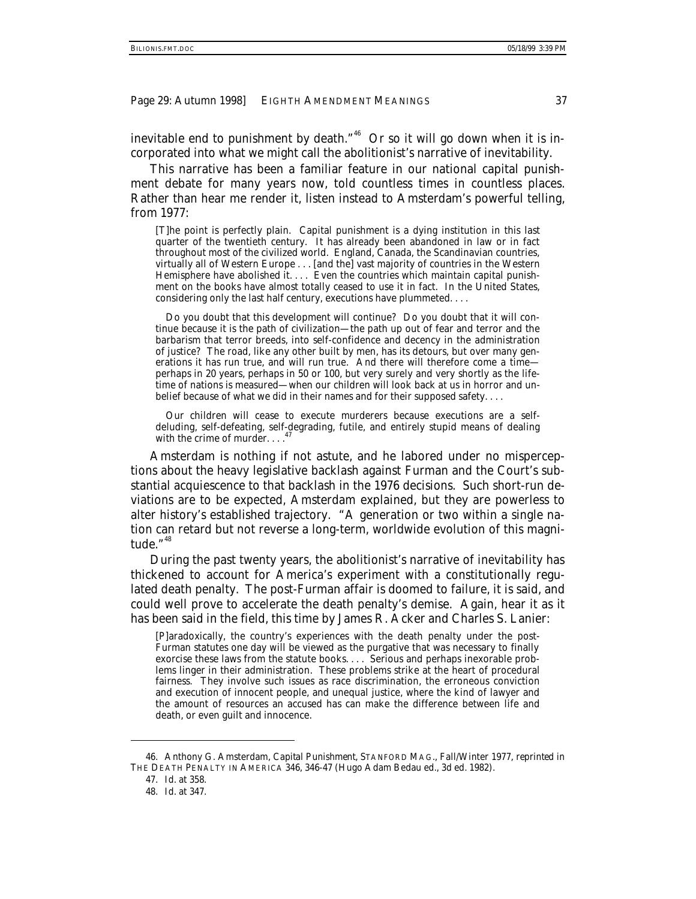inevitable end to punishment by death."46 Or so it will go down when it is incorporated into what we might call the abolitionist's narrative of inevitability.

This narrative has been a familiar feature in our national capital punishment debate for many years now, told countless times in countless places. Rather than hear me render it, listen instead to Amsterdam's powerful telling, from 1977:

[T]he point is perfectly plain. Capital punishment is a dying institution in this last quarter of the twentieth century. It has already been abandoned in law or in fact throughout most of the civilized world. England, Canada, the Scandinavian countries, virtually all of Western Europe . . . [and the] vast majority of countries in the Western Hemisphere have abolished it. . . . Even the countries which maintain capital punishment on the books have almost totally ceased to use it in fact. In the United States, considering only the last half century, executions have plummeted. . . .

Do you doubt that this development will continue? Do you doubt that it will continue because it is the path of civilization—the path up out of fear and terror and the barbarism that terror breeds, into self-confidence and decency in the administration of justice? The road, like any other built by men, has its detours, but over many generations it has run true, and will run true. And there will therefore come a time perhaps in 20 years, perhaps in 50 or 100, but very surely and very shortly as the lifetime of nations is measured—when our children will look back at us in horror and unbelief because of what we did in their names and for their supposed safety. . . .

Our children will cease to execute murderers because executions are a selfdeluding, self-defeating, self-degrading, futile, and entirely stupid means of dealing with the crime of murder.  $\ldots$ <sup>47</sup>

Amsterdam is nothing if not astute, and he labored under no misperceptions about the heavy legislative backlash against *Furman* and the Court's substantial acquiescence to that backlash in the 1976 decisions. Such short-run deviations are to be expected, Amsterdam explained, but they are powerless to alter history's established trajectory. "A generation or two within a single nation can retard but not reverse a long-term, worldwide evolution of this magnitude."<sup>48</sup>

During the past twenty years, the abolitionist's narrative of inevitability has thickened to account for America's experiment with a constitutionally regulated death penalty. The post-*Furman* affair is doomed to failure, it is said, and could well prove to accelerate the death penalty's demise. Again, hear it as it has been said in the field, this time by James R. Acker and Charles S. Lanier:

[P]aradoxically, the country's experiences with the death penalty under the post-*Furman* statutes one day will be viewed as the purgative that was necessary to finally exorcise these laws from the statute books. . . . Serious and perhaps inexorable problems linger in their administration. These problems strike at the heart of procedural fairness. They involve such issues as race discrimination, the erroneous conviction and execution of innocent people, and unequal justice, where the kind of lawyer and the amount of resources an accused has can make the difference between life and death, or even guilt and innocence.

<sup>46.</sup> Anthony G. Amsterdam, *Capital Punishment*, STANFORD MAG., Fall/Winter 1977, *reprinted in* THE DEATH PENALTY IN AMERICA 346, 346-47 (Hugo Adam Bedau ed., 3d ed. 1982).

<sup>47.</sup> *Id*. at 358.

<sup>48.</sup> *Id*. at 347.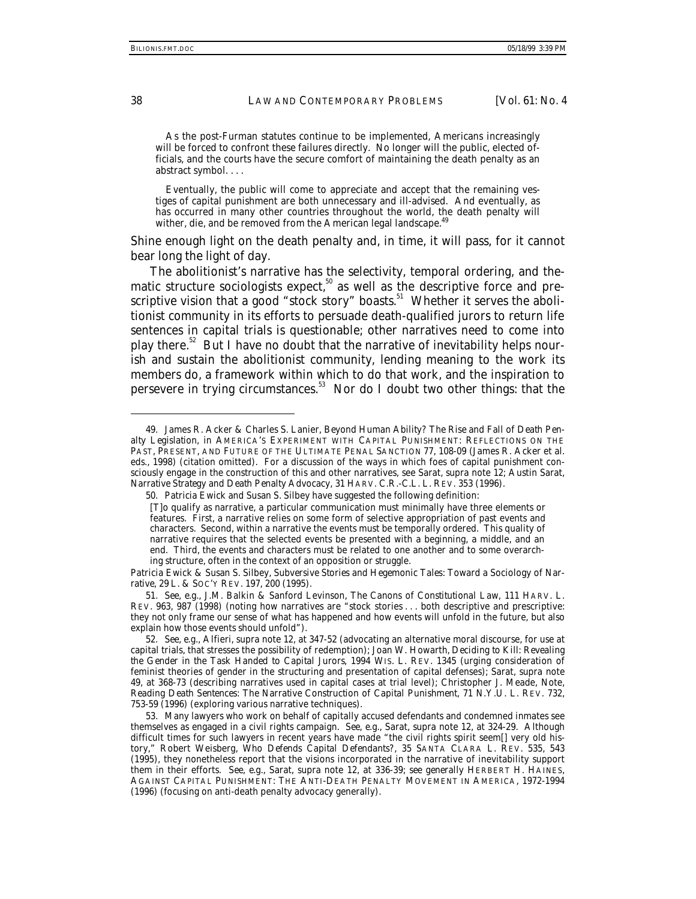As the post-*Furman* statutes continue to be implemented, Americans increasingly will be forced to confront these failures directly. No longer will the public, elected officials, and the courts have the secure comfort of maintaining the death penalty as an abstract symbol. . . .

Eventually, the public will come to appreciate and accept that the remaining vestiges of capital punishment are both unnecessary and ill-advised. And eventually, as has occurred in many other countries throughout the world, the death penalty will wither, die, and be removed from the American legal landscape.<sup>49</sup>

Shine enough light on the death penalty and, in time, it will pass, for it cannot bear long the light of day.

The abolitionist's narrative has the selectivity, temporal ordering, and thematic structure sociologists  $expect$ ,<sup>50</sup> as well as the descriptive force and prescriptive vision that a good "stock story" boasts.<sup>51</sup> Whether it serves the abolitionist community in its efforts to persuade death-qualified jurors to return life sentences in capital trials is questionable; other narratives need to come into play there.<sup>52</sup> But I have no doubt that the narrative of inevitability helps nourish and sustain the abolitionist community, lending meaning to the work its members do, a framework within which to do that work, and the inspiration to persevere in trying circumstances.<sup>53</sup> Nor do I doubt two other things: that the

<sup>49.</sup> James R. Acker & Charles S. Lanier, *Beyond Human Ability? The Rise and Fall of Death Penalty Legislation*, *in* AMERICA'S EXPERIMENT WITH CAPITAL PUNISHMENT: REFLECTIONS ON THE PAST, PRESENT, AND FUTURE OF THE ULTIMATE PENAL SANCTION 77, 108-09 (James R. Acker et al. eds., 1998) (citation omitted). For a discussion of the ways in which foes of capital punishment consciously engage in the construction of this and other narratives, see Sarat, *supra* note 12; Austin Sarat, *Narrative Strategy and Death Penalty Advocacy*, 31 HARV. C.R.-C.L. L. REV. 353 (1996).

<sup>50.</sup> Patricia Ewick and Susan S. Silbey have suggested the following definition:

<sup>[</sup>T]o qualify as narrative, a particular communication must minimally have three elements or features. First, a narrative relies on some form of selective appropriation of past events and characters. Second, within a narrative the events must be temporally ordered. This quality of narrative requires that the selected events be presented with a beginning, a middle, and an end. Third, the events and characters must be related to one another and to some overarching structure, often in the context of an opposition or struggle.

Patricia Ewick & Susan S. Silbey, *Subversive Stories and Hegemonic Tales: Toward a Sociology of Narrative*, 29 L. & SOC'Y REV. 197, 200 (1995).

<sup>51.</sup> *See, e.g.*, J.M. Balkin & Sanford Levinson, *The Canons of Constitutional Law*, 111 HARV. L. REV. 963, 987 (1998) (noting how narratives are "stock stories . . . both descriptive and prescriptive: they not only frame our sense of what has happened and how events will unfold in the future, but also explain how those events should unfold").

<sup>52.</sup> *See, e.g.*, Alfieri, *supra* note 12, at 347-52 (advocating an alternative moral discourse, for use at capital trials, that stresses the possibility of redemption); Joan W. Howarth, *Deciding to Kill: Revealing the Gender in the Task Handed to Capital Jurors*, 1994 WIS. L. REV. 1345 (urging consideration of feminist theories of gender in the structuring and presentation of capital defenses); Sarat, *supra* note 49, at 368-73 (describing narratives used in capital cases at trial level); Christopher J. Meade, Note, *Reading Death Sentences: The Narrative Construction of Capital Punishment*, 71 N.Y.U. L. REV. 732, 753-59 (1996) (exploring various narrative techniques).

<sup>53.</sup> Many lawyers who work on behalf of capitally accused defendants and condemned inmates see themselves as engaged in a civil rights campaign. *See, e.g.*, Sarat, *supra* note 12, at 324-29. Although difficult times for such lawyers in recent years have made "the civil rights spirit seem[] very old history," Robert Weisberg, *Who Defends Capital Defendants?*, 35 SANTA CLARA L. REV. 535, 543 (1995), they nonetheless report that the visions incorporated in the narrative of inevitability support them in their efforts. *See, e.g.*, Sarat, *supra* note 12, at 336-39; *see generally* HERBERT H. HAINES, AGAINST CAPITAL PUNISHMENT: THE ANTI-DEATH PENALTY MOVEMENT IN AMERICA, 1972-1994 (1996) (focusing on anti-death penalty advocacy generally).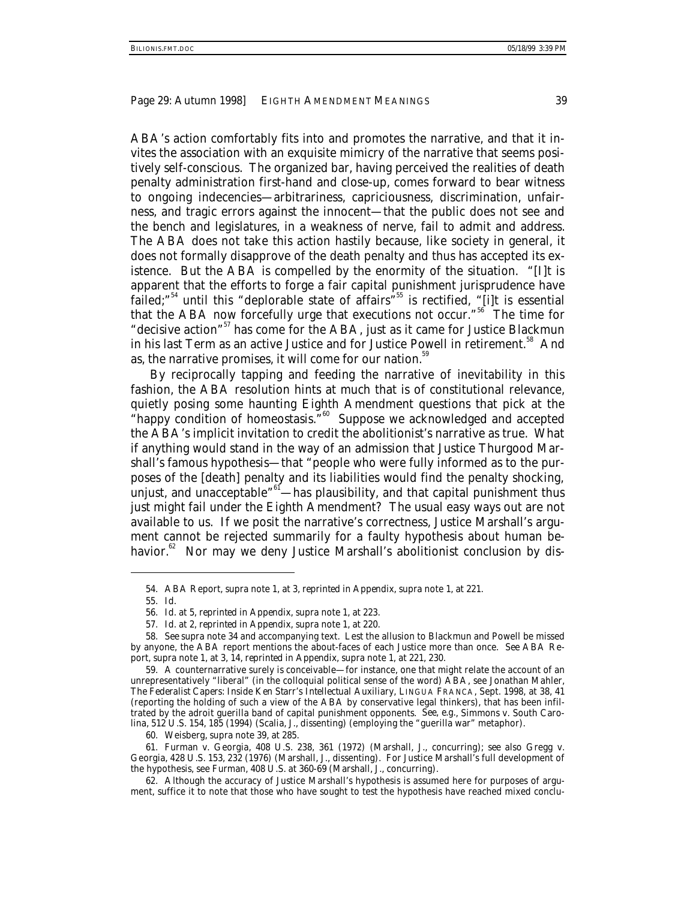ABA's action comfortably fits into and promotes the narrative, and that it invites the association with an exquisite mimicry of the narrative that seems positively self-conscious. The organized bar, having perceived the realities of death penalty administration first-hand and close-up, comes forward to bear witness to ongoing indecencies—arbitrariness, capriciousness, discrimination, unfairness, and tragic errors against the innocent—that the public does not see and the bench and legislatures, in a weakness of nerve, fail to admit and address. The ABA does not take this action hastily because, like society in general, it does not formally disapprove of the death penalty and thus has accepted its existence. But the ABA is compelled by the enormity of the situation. "[I]t is apparent that the efforts to forge a fair capital punishment jurisprudence have failed;<sup>"54</sup> until this "deplorable state of affairs<sup>"55</sup> is rectified, " $[i]$ t is essential that the ABA now forcefully urge that executions not occur."56 The time for "decisive action"<sup>57</sup> has come for the ABA, just as it came for Justice Blackmun in his last Term as an active Justice and for Justice Powell in retirement.<sup>58</sup> And as, the narrative promises, it will come for our nation.<sup>59</sup>

By reciprocally tapping and feeding the narrative of inevitability in this fashion, the ABA resolution hints at much that is of constitutional relevance, quietly posing some haunting Eighth Amendment questions that pick at the "happy condition of homeostasis."<sup>60</sup> Suppose we acknowledged and accepted the ABA's implicit invitation to credit the abolitionist's narrative as true. What if anything would stand in the way of an admission that Justice Thurgood Marshall's famous hypothesis—that "people who were fully informed as to the purposes of the [death] penalty and its liabilities would find the penalty shocking, unjust, and unacceptable"<sup>61</sup>—has plausibility, and that capital punishment thus just might fail under the Eighth Amendment? The usual easy ways out are not available to us. If we posit the narrative's correctness, Justice Marshall's argument cannot be rejected summarily for a faulty hypothesis about human behavior.<sup>62</sup> Nor may we deny Justice Marshall's abolitionist conclusion by dis-

-

60. Weisberg, *supra* note 39, at 285.

<sup>54.</sup> ABA Report, *supra* note 1, at 3, *reprinted in Appendix*, *supra* note 1, at 221.

<sup>55.</sup> *Id*.

<sup>56.</sup> *Id*. at 5, *reprinted in Appendix*, *supra* note 1, at 223.

<sup>57.</sup> *Id*. at 2, *reprinted in Appendix*, *supra* note 1, at 220.

<sup>58.</sup> *See supra* note 34 and accompanying text. Lest the allusion to Blackmun and Powell be missed by anyone, the ABA report mentions the about-faces of each Justice more than once. *See* ABA Report, *supra* note 1, at 3, 14, *reprinted in Appendix*, *supra* note 1, at 221, 230.

<sup>59.</sup> A counternarrative surely is conceivable—for instance, one that might relate the account of an unrepresentatively "liberal" (in the colloquial political sense of the word) ABA, see Jonathan Mahler, *The Federalist Capers: Inside Ken Starr's Intellectual Auxiliary*, LINGUA FRANCA, Sept. 1998, at 38, 41 (reporting the holding of such a view of the ABA by conservative legal thinkers), that has been infiltrated by the adroit guerilla band of capital punishment opponents. *See, e.g.*, Simmons v. South Carolina, 512 U.S. 154, 185 (1994) (Scalia, J., dissenting) (employing the "guerilla war" metaphor).

<sup>61.</sup> Furman v. Georgia, 408 U.S. 238, 361 (1972) (Marshall, J., concurring); *see also* Gregg v. Georgia, 428 U.S. 153, 232 (1976) (Marshall, J., dissenting). For Justice Marshall's full development of the hypothesis, see *Furman*, 408 U.S. at 360-69 (Marshall, J., concurring).

<sup>62.</sup> Although the accuracy of Justice Marshall's hypothesis is assumed here for purposes of argument, suffice it to note that those who have sought to test the hypothesis have reached mixed conclu-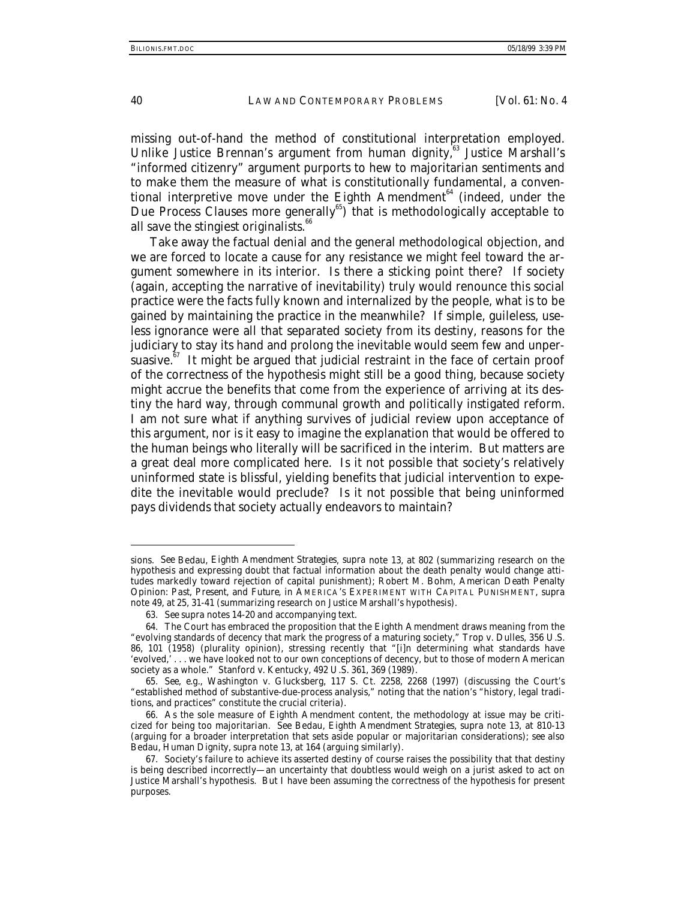missing out-of-hand the method of constitutional interpretation employed. Unlike Justice Brennan's argument from human dignity,<sup>63</sup> Justice Marshall's "informed citizenry" argument purports to hew to majoritarian sentiments and to make them the measure of what is constitutionally fundamental, a conventional interpretive move under the Eighth Amendment<sup>64</sup> (indeed, under the Due Process Clauses more generally<sup>65</sup>) that is methodologically acceptable to all save the stingiest originalists. $66$ 

Take away the factual denial and the general methodological objection, and we are forced to locate a cause for any resistance we might feel toward the argument somewhere in its interior. Is there a sticking point there? If society (again, accepting the narrative of inevitability) truly would renounce this social practice were the facts fully known and internalized by the people, what is to be gained by maintaining the practice in the meanwhile? If simple, guileless, useless ignorance were all that separated society from its destiny, reasons for the judiciary to stay its hand and prolong the inevitable would seem few and unpersuasive. $67$  It might be argued that judicial restraint in the face of certain proof of the correctness of the hypothesis might still be a good thing, because society might accrue the benefits that come from the experience of arriving at its destiny the hard way, through communal growth and politically instigated reform. I am not sure what if anything survives of judicial review upon acceptance of this argument, nor is it easy to imagine the explanation that would be offered to the human beings who literally will be sacrificed in the interim. But matters are a great deal more complicated here. Is it not possible that society's relatively uninformed state is blissful, yielding benefits that judicial intervention to expedite the inevitable would preclude? Is it not possible that being uninformed pays dividends that society actually endeavors to maintain?

sions. *See* Bedau, *Eighth Amendment Strategies*, *supra* note 13, at 802 (summarizing research on the hypothesis and expressing doubt that factual information about the death penalty would change attitudes markedly toward rejection of capital punishment); Robert M. Bohm, *American Death Penalty Opinion: Past, Present, and Future*, *in* AMERICA'S EXPERIMENT WITH CAPITAL PUNISHMENT, *supra* note 49, at 25, 31-41 (summarizing research on Justice Marshall's hypothesis).

<sup>63.</sup> *See supra* notes 14-20 and accompanying text.

<sup>64.</sup> The Court has embraced the proposition that the Eighth Amendment draws meaning from the "evolving standards of decency that mark the progress of a maturing society," Trop v. Dulles, 356 U.S. 86, 101 (1958) (plurality opinion), stressing recently that "[i]n determining what standards have 'evolved,' . . . we have looked not to our own conceptions of decency, but to those of modern American society as a whole." Stanford v. Kentucky, 492 U.S. 361, 369 (1989).

<sup>65.</sup> *See, e.g.*, Washington v. Glucksberg, 117 S. Ct. 2258, 2268 (1997) (discussing the Court's "established method of substantive-due-process analysis," noting that the nation's "history, legal traditions, and practices" constitute the crucial criteria).

<sup>66.</sup> As the sole measure of Eighth Amendment content, the methodology at issue may be criticized for being too majoritarian. *See* Bedau, *Eighth Amendment Strategies*, *supra* note 13, at 810-13 (arguing for a broader interpretation that sets aside popular or majoritarian considerations); *see also* Bedau, *Human Dignity*, *supra* note 13, at 164 (arguing similarly).

<sup>67.</sup> Society's failure to achieve its asserted destiny of course raises the possibility that that destiny is being described incorrectly—an uncertainty that doubtless would weigh on a jurist asked to act on Justice Marshall's hypothesis. But I have been assuming the correctness of the hypothesis for present purposes.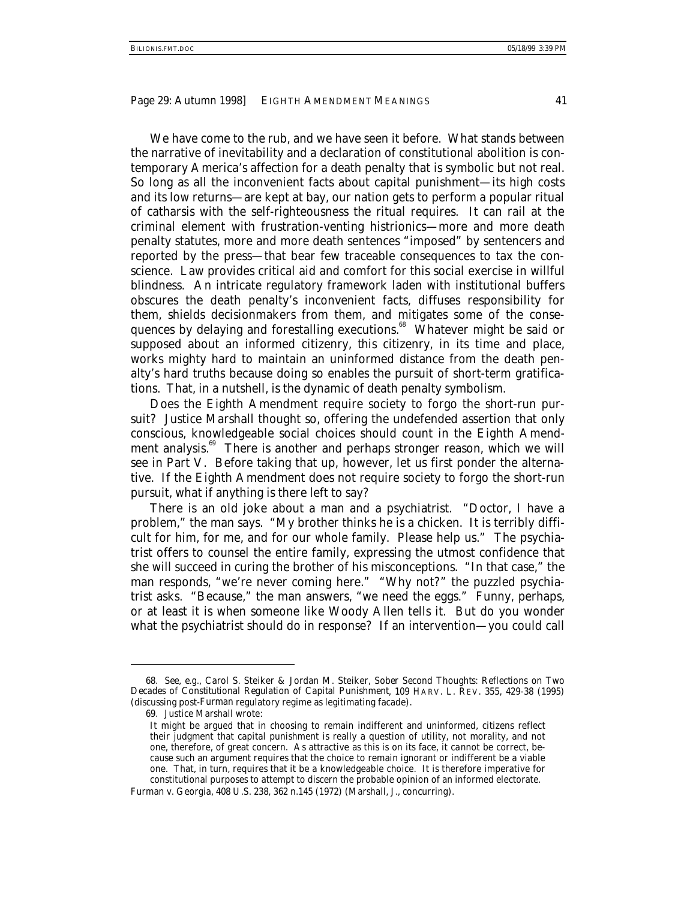We have come to the rub, and we have seen it before. What stands between the narrative of inevitability and a declaration of constitutional abolition is contemporary America's affection for a death penalty that is symbolic but not real. So long as all the inconvenient facts about capital punishment—its high costs and its low returns—are kept at bay, our nation gets to perform a popular ritual of catharsis with the self-righteousness the ritual requires. It can rail at the criminal element with frustration-venting histrionics—more and more death penalty statutes, more and more death sentences "imposed" by sentencers and reported by the press—that bear few traceable consequences to tax the conscience. Law provides critical aid and comfort for this social exercise in willful blindness. An intricate regulatory framework laden with institutional buffers obscures the death penalty's inconvenient facts, diffuses responsibility for them, shields decisionmakers from them, and mitigates some of the consequences by delaying and forestalling executions.<sup>68</sup> Whatever might be said or supposed about an informed citizenry, *this* citizenry, in its time and place, works mighty hard to maintain an uninformed distance from the death penalty's hard truths because doing so enables the pursuit of short-term gratifications. That, in a nutshell, is the dynamic of death penalty symbolism.

Does the Eighth Amendment require society to forgo the short-run pursuit? Justice Marshall thought so, offering the undefended assertion that only conscious, knowledgeable social choices should count in the Eighth Amendment analysis.<sup>69</sup> There is another and perhaps stronger reason, which we will see in Part V. Before taking that up, however, let us first ponder the alternative. If the Eighth Amendment does not require society to forgo the short-run pursuit, what if anything is there left to say?

There is an old joke about a man and a psychiatrist. "Doctor, I have a problem," the man says. "My brother thinks he is a chicken. It is terribly difficult for him, for me, and for our whole family. Please help us." The psychiatrist offers to counsel the entire family, expressing the utmost confidence that she will succeed in curing the brother of his misconceptions. "In that case," the man responds, "we're never coming here." "Why not?" the puzzled psychiatrist asks. "Because," the man answers, "we need the eggs." Funny, perhaps, or at least it is when someone like Woody Allen tells it. But do you wonder what the psychiatrist should do in response? If an intervention—you could call

<sup>68.</sup> *See, e.g.*, Carol S. Steiker & Jordan M. Steiker, *Sober Second Thoughts: Reflections on Two Decades of Constitutional Regulation of Capital Punishment*, 109 HARV. L. REV. 355, 429-38 (1995) (discussing post-*Furman* regulatory regime as legitimating facade).

<sup>69.</sup> Justice Marshall wrote:

It might be argued that in choosing to remain indifferent and uninformed, citizens reflect their judgment that capital punishment is really a question of utility, not morality, and not one, therefore, of great concern. As attractive as this is on its face, it cannot be correct, because such an argument requires that the choice to remain ignorant or indifferent be a viable one. That, in turn, requires that it be a knowledgeable choice. It is therefore imperative for constitutional purposes to attempt to discern the probable opinion of an informed electorate. Furman v. Georgia, 408 U.S. 238, 362 n.145 (1972) (Marshall, J., concurring).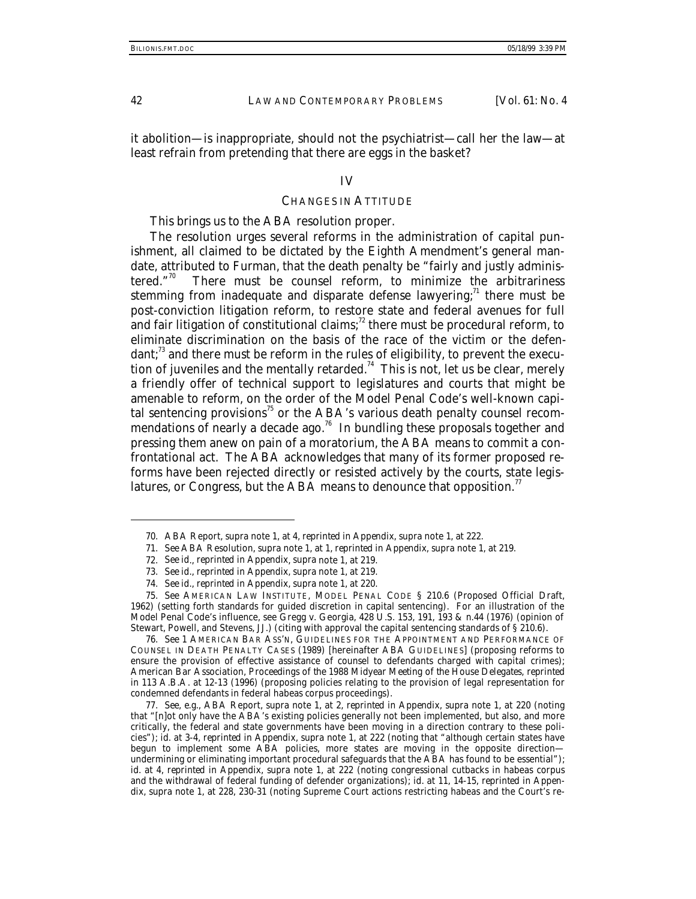1

it abolition—is inappropriate, should not the psychiatrist—call her the law—at least refrain from pretending that there are eggs in the basket?

#### IV

#### CHANGES IN ATTITUDE

This brings us to the ABA resolution proper.

The resolution urges several reforms in the administration of capital punishment, all claimed to be dictated by the Eighth Amendment's general mandate, attributed to *Furman*, that the death penalty be "fairly and justly administered."<sup>70</sup> There must be counsel reform, to minimize the arbitrariness There must be counsel reform, to minimize the arbitrariness stemming from inadequate and disparate defense lawyering; $^{71}$  there must be post-conviction litigation reform, to restore state and federal avenues for full and fair litigation of constitutional claims; $^{72}$  there must be procedural reform, to eliminate discrimination on the basis of the race of the victim or the defen $d$ ant;<sup>73</sup> and there must be reform in the rules of eligibility, to prevent the execution of juveniles and the mentally retarded.<sup>74</sup> This is not, let us be clear, merely a friendly offer of technical support to legislatures and courts that might be amenable to reform, on the order of the Model Penal Code's well-known capital sentencing provisions<sup>75</sup> or the ABA's various death penalty counsel recommendations of nearly a decade ago.<sup>76</sup> In bundling these proposals together and pressing them anew on pain of a moratorium, the ABA means to commit a confrontational act. The ABA acknowledges that many of its former proposed reforms have been rejected directly or resisted actively by the courts, state legislatures, or Congress, but the ABA means to denounce that opposition.<sup>77</sup>

76. *See* 1 AMERICAN BAR ASS'N, GUIDELINES FOR THE APPOINTMENT AND PERFORMANCE OF COUNSEL IN DEATH PENALTY CASES (1989) [hereinafter ABA GUIDELINES] (proposing reforms to ensure the provision of effective assistance of counsel to defendants charged with capital crimes); American Bar Association, *Proceedings of the 1988 Midyear Meeting of the House Delegates*, *reprinted in* 113 A.B.A. at 12-13 (1996) (proposing policies relating to the provision of legal representation for condemned defendants in federal habeas corpus proceedings).

77. *See, e.g.*, ABA Report, *supra* note 1, at 2, *reprinted in Appendix*, *supra* note 1, at 220 (noting that "[n]ot only have the ABA's existing policies generally not been implemented, but also, and more critically, the federal and state governments have been moving in a direction contrary to these policies"); *id*. at 3-4, *reprinted in Appendix*, *supra* note 1, at 222 (noting that "although certain states have begun to implement some ABA policies, more states are moving in the opposite direction undermining or eliminating important procedural safeguards that the ABA has found to be essential"); *id*. at 4, *reprinted in Appendix*, *supra* note 1, at 222 (noting congressional cutbacks in habeas corpus and the withdrawal of federal funding of defender organizations); *id*. at 11, 14-15, *reprinted in Appendix*, *supra* note 1, at 228, 230-31 (noting Supreme Court actions restricting habeas and the Court's re-

<sup>70.</sup> ABA Report, *supra* note 1, at 4, *reprinted in Appendix*, *supra* note 1, at 222.

<sup>71.</sup> *See* ABA Resolution, *supra* note 1, at 1, *reprinted in Appendix*, *supra* note 1, at 219.

<sup>72.</sup> *See id*., *reprinted in Appendix*, *supra* note 1, at 219.

<sup>73.</sup> *See id*., *reprinted in Appendix*, *supra* note 1, at 219.

<sup>74.</sup> *See id*., *reprinted in Appendix*, *supra* note 1, at 220.

<sup>75.</sup> *See* AMERICAN LAW INSTITUTE, MODEL PENAL CODE § 210.6 (Proposed Official Draft, 1962) (setting forth standards for guided discretion in capital sentencing). For an illustration of the Model Penal Code's influence, see Gregg v. Georgia, 428 U.S. 153, 191, 193 & n.44 (1976) (opinion of Stewart, Powell, and Stevens, JJ.) (citing with approval the capital sentencing standards of § 210.6).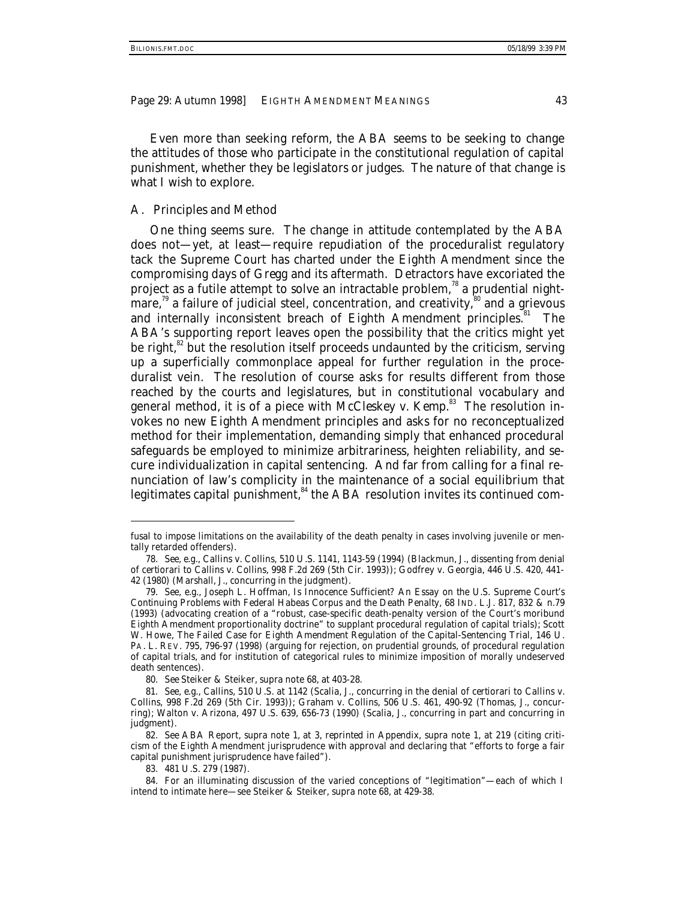Even more than seeking reform, the ABA seems to be seeking to change the attitudes of those who participate in the constitutional regulation of capital punishment, whether they be legislators or judges. The nature of that change is what I wish to explore.

#### A. Principles and Method

One thing seems sure. The change in attitude contemplated by the ABA does not—yet, at least—require repudiation of the proceduralist regulatory tack the Supreme Court has charted under the Eighth Amendment since the compromising days of *Gregg* and its aftermath. Detractors have excoriated the project as a futile attempt to solve an intractable problem, $^{78}$  a prudential nightmare, $79$  a failure of judicial steel, concentration, and creativity, $80$  and a grievous and internally inconsistent breach of Eighth Amendment principles.<sup>81</sup> The ABA's supporting report leaves open the possibility that the critics might yet be right,<sup>82</sup> but the resolution itself proceeds undaunted by the criticism, serving up a superficially commonplace appeal for further regulation in the proceduralist vein. The resolution of course asks for results different from those reached by the courts and legislatures, but in constitutional vocabulary and general method, it is of a piece with *McCleskey v. Kemp.*<sup>83</sup> The resolution invokes no new Eighth Amendment principles and asks for no reconceptualized method for their implementation, demanding simply that enhanced procedural safeguards be employed to minimize arbitrariness, heighten reliability, and secure individualization in capital sentencing. And far from calling for a final renunciation of law's complicity in the maintenance of a social equilibrium that legitimates capital punishment,<sup>84</sup> the ABA resolution invites its continued com-

fusal to impose limitations on the availability of the death penalty in cases involving juvenile or mentally retarded offenders).

<sup>78.</sup> *See, e.g.*, Callins v. Collins, 510 U.S. 1141, 1143-59 (1994) (Blackmun, J., dissenting from denial of *certiorari* to Callins v. Collins, 998 F.2d 269 (5th Cir. 1993)); Godfrey v. Georgia, 446 U.S. 420, 441- 42 (1980) (Marshall, J., concurring in the judgment).

<sup>79.</sup> *See, e.g.*, Joseph L. Hoffman, *Is Innocence Sufficient? An Essay on the U.S. Supreme Court's Continuing Problems with Federal Habeas Corpus and the Death Penalty*, 68 IND. L.J. 817, 832 & n.79 (1993) (advocating creation of a "robust, case-specific death-penalty version of the Court's moribund Eighth Amendment proportionality doctrine" to supplant procedural regulation of capital trials); Scott W. Howe, *The Failed Case for Eighth Amendment Regulation of the Capital-Sentencing Trial*, 146 U. PA. L. REV. 795, 796-97 (1998) (arguing for rejection, on prudential grounds, of procedural regulation of capital trials, and for institution of categorical rules to minimize imposition of morally undeserved death sentences).

<sup>80.</sup> *See* Steiker & Steiker, *supra* note 68, at 403-28.

<sup>81.</sup> *See, e.g.*, *Callins*, 510 U.S. at 1142 (Scalia, J., concurring in the denial of *certiorari* to Callins v. Collins, 998 F.2d 269 (5th Cir. 1993)); Graham v. Collins, 506 U.S. 461, 490-92 (Thomas, J., concurring); Walton v. Arizona, 497 U.S. 639, 656-73 (1990) (Scalia, J., concurring in part and concurring in judgment).

<sup>82.</sup> *See* ABA Report, *supra* note 1, at 3, *reprinted in Appendix*, *supra* note 1, at 219 (citing criticism of the Eighth Amendment jurisprudence with approval and declaring that "efforts to forge a fair capital punishment jurisprudence have failed").

<sup>83. 481</sup> U.S. 279 (1987).

<sup>84.</sup> For an illuminating discussion of the varied conceptions of "legitimation"—each of which I intend to intimate here—see Steiker & Steiker, *supra* note 68, at 429-38.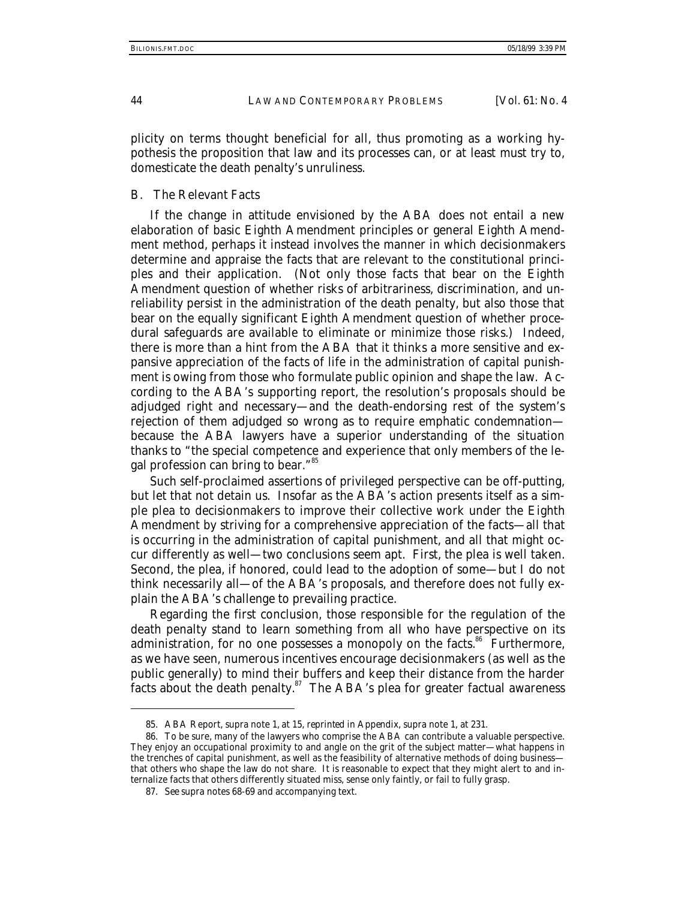plicity on terms thought beneficial for all, thus promoting as a working hypothesis the proposition that law and its processes can, or at least must try to, domesticate the death penalty's unruliness.

## B. The Relevant Facts

If the change in attitude envisioned by the ABA does not entail a new elaboration of basic Eighth Amendment principles or general Eighth Amendment method, perhaps it instead involves the manner in which decisionmakers determine and appraise the facts that are relevant to the constitutional principles and their application. (Not only those facts that bear on the Eighth Amendment question of whether risks of arbitrariness, discrimination, and unreliability persist in the administration of the death penalty, but also those that bear on the equally significant Eighth Amendment question of whether procedural safeguards are available to eliminate or minimize those risks.) Indeed, there is more than a hint from the ABA that it thinks a more sensitive and expansive appreciation of the facts of life in the administration of capital punishment is owing from those who formulate public opinion and shape the law. According to the ABA's supporting report, the resolution's proposals should be adjudged right and necessary—and the death-endorsing rest of the system's rejection of them adjudged so wrong as to require emphatic condemnation because the ABA lawyers have a superior understanding of the situation thanks to "the special competence and experience that only members of the legal profession can bring to bear."85

Such self-proclaimed assertions of privileged perspective can be off-putting, but let that not detain us. Insofar as the ABA's action presents itself as a simple plea to decisionmakers to improve their collective work under the Eighth Amendment by striving for a comprehensive appreciation of the facts—all that is occurring in the administration of capital punishment, and all that might occur differently as well—two conclusions seem apt. First, the plea is well taken. Second, the plea, if honored, could lead to the adoption of some—but I do not think necessarily all—of the ABA's proposals, and therefore does not fully explain the ABA's challenge to prevailing practice.

Regarding the first conclusion, those responsible for the regulation of the death penalty stand to learn something from all who have perspective on its administration, for no one possesses a monopoly on the facts.<sup>86</sup> Furthermore, as we have seen, numerous incentives encourage decisionmakers (as well as the public generally) to mind their buffers and keep their distance from the harder facts about the death penalty.<sup>87</sup> The ABA's plea for greater factual awareness

<sup>85.</sup> ABA Report, *supra* note 1, at 15, *reprinted in Appendix*, *supra* note 1, at 231.

<sup>86.</sup> To be sure, many of the lawyers who comprise the ABA can contribute a valuable perspective. They enjoy an occupational proximity to and angle on the grit of the subject matter—what happens in the trenches of capital punishment, as well as the feasibility of alternative methods of doing business that others who shape the law do not share. It is reasonable to expect that they might alert to and internalize facts that others differently situated miss, sense only faintly, or fail to fully grasp.

<sup>87.</sup> *See supra* notes 68-69 and accompanying text.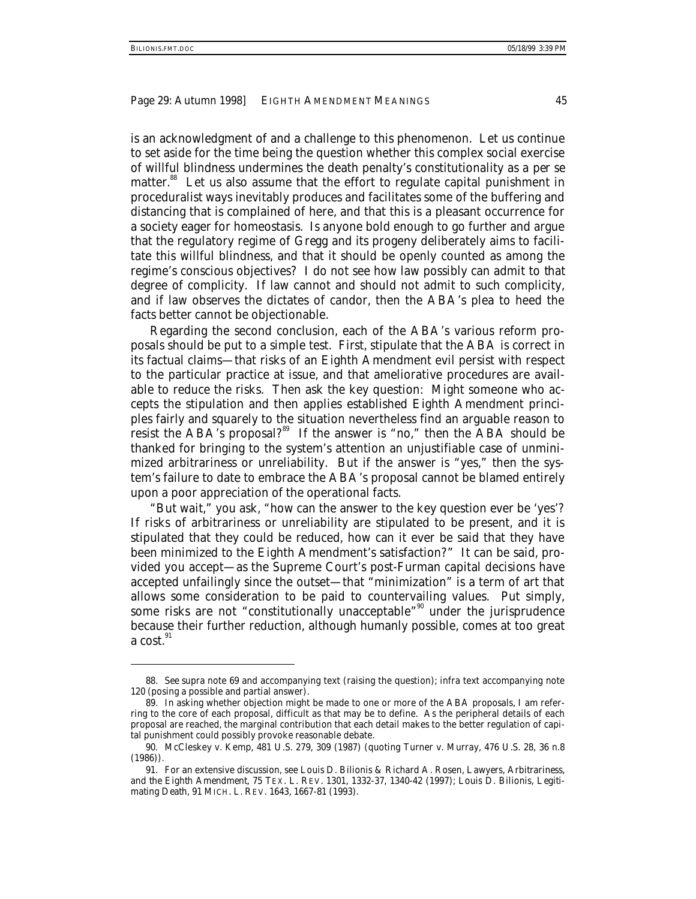is an acknowledgment of and a challenge to this phenomenon. Let us continue to set aside for the time being the question whether this complex social exercise of willful blindness undermines the death penalty's constitutionality as a *per se* matter.<sup>88</sup> Let us also assume that the effort to regulate capital punishment in proceduralist ways inevitably produces and facilitates some of the buffering and distancing that is complained of here, and that this is a pleasant occurrence for a society eager for homeostasis. Is anyone bold enough to go further and argue that the regulatory regime of *Gregg* and its progeny deliberately aims to facilitate this willful blindness, and that it should be openly counted as among the regime's conscious objectives? I do not see how law possibly can admit to *that* degree of complicity. If law cannot and should not admit to such complicity, and if law observes the dictates of candor, then the ABA's plea to heed the facts better cannot be objectionable.

Regarding the second conclusion, each of the ABA's various reform proposals should be put to a simple test. First, stipulate that the ABA is correct in its factual claims—that risks of an Eighth Amendment evil persist with respect to the particular practice at issue, and that ameliorative procedures are available to reduce the risks. Then ask the key question: Might someone who accepts the stipulation and then applies established Eighth Amendment principles fairly and squarely to the situation nevertheless find an arguable reason to resist the ABA's proposal?<sup>89</sup> If the answer is "no," then the ABA should be thanked for bringing to the system's attention an unjustifiable case of unminimized arbitrariness or unreliability. But if the answer is "yes," then the system's failure to date to embrace the ABA's proposal cannot be blamed entirely upon a poor appreciation of the operational facts.

"But wait," you ask, "how can the answer to the key question ever be 'yes'? If risks of arbitrariness or unreliability are stipulated to be present, and it is stipulated that they could be reduced, how can it ever be said that they have been minimized to the Eighth Amendment's satisfaction?" It can be said, provided you accept—as the Supreme Court's post-*Furman* capital decisions have accepted unfailingly since the outset—that "minimization" is a term of art that allows some consideration to be paid to countervailing values. Put simply, some risks are not "constitutionally unacceptable"<sup>90</sup> under the jurisprudence because their further reduction, although humanly possible, comes at too great  $a \cos t$ .

<sup>88.</sup> *See supra* note 69 and accompanying text (raising the question); *infra* text accompanying note 120 (posing a possible and partial answer).

<sup>89.</sup> In asking whether objection might be made to one or more of the ABA proposals, I am referring to the core of each proposal, difficult as that may be to define. As the peripheral details of each proposal are reached, the marginal contribution that each detail makes to the better regulation of capital punishment could possibly provoke reasonable debate.

<sup>90.</sup> McCleskey v. Kemp, 481 U.S. 279, 309 (1987) (quoting Turner v. Murray, 476 U.S. 28, 36 n.8 (1986)).

<sup>91.</sup> For an extensive discussion, see Louis D. Bilionis & Richard A. Rosen, *Lawyers, Arbitrariness, and the Eighth Amendment*, 75 TEX. L. REV. 1301, 1332-37, 1340-42 (1997); Louis D. Bilionis, *Legitimating Death*, 91 MICH. L. REV. 1643, 1667-81 (1993).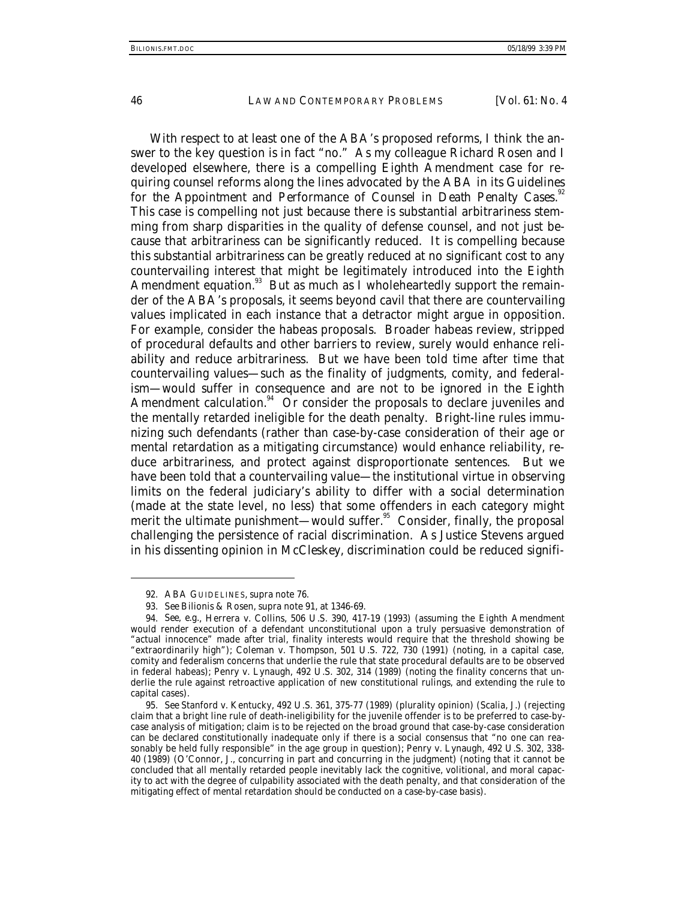With respect to at least one of the ABA's proposed reforms, I think the answer to the key question is in fact "no." As my colleague Richard Rosen and I developed elsewhere, there is a compelling Eighth Amendment case for requiring counsel reforms along the lines advocated by the ABA in its *Guidelines* for the Appointment and Performance of Counsel in Death Penalty Cases.<sup>92</sup> This case is compelling not just because there is substantial arbitrariness stemming from sharp disparities in the quality of defense counsel, and not just because that arbitrariness can be significantly reduced. It is compelling because this substantial arbitrariness can be greatly reduced at no significant cost to any countervailing interest that might be legitimately introduced into the Eighth Amendment equation.<sup>93</sup> But as much as I wholeheartedly support the remainder of the ABA's proposals, it seems beyond cavil that there are countervailing values implicated in each instance that a detractor might argue in opposition. For example, consider the habeas proposals. Broader habeas review, stripped of procedural defaults and other barriers to review, surely would enhance reliability and reduce arbitrariness. But we have been told time after time that countervailing values—such as the finality of judgments, comity, and federalism—would suffer in consequence and are not to be ignored in the Eighth Amendment calculation. $94$  Or consider the proposals to declare juveniles and the mentally retarded ineligible for the death penalty. Bright-line rules immunizing such defendants (rather than case-by-case consideration of their age or mental retardation as a mitigating circumstance) would enhance reliability, reduce arbitrariness, and protect against disproportionate sentences. But we have been told that a countervailing value—the institutional virtue in observing limits on the federal judiciary's ability to differ with a social determination (made at the state level, no less) that some offenders in each category might merit the ultimate punishment—would suffer.<sup>95</sup> Consider, finally, the proposal challenging the persistence of racial discrimination. As Justice Stevens argued in his dissenting opinion in *McCleskey*, discrimination could be reduced signifi-

<sup>92.</sup> ABA GUIDELINES, *supra* note 76.

<sup>93.</sup> *See* Bilionis & Rosen, *supra* note 91, at 1346-69.

<sup>94.</sup> *See, e.g.*, Herrera v. Collins, 506 U.S. 390, 417-19 (1993) (assuming the Eighth Amendment would render execution of a defendant unconstitutional upon a truly persuasive demonstration of "actual innocence" made after trial, finality interests would require that the threshold showing be "extraordinarily high"); Coleman v. Thompson, 501 U.S. 722, 730 (1991) (noting, in a capital case, comity and federalism concerns that underlie the rule that state procedural defaults are to be observed in federal habeas); Penry v. Lynaugh, 492 U.S. 302, 314 (1989) (noting the finality concerns that underlie the rule against retroactive application of new constitutional rulings, and extending the rule to capital cases).

<sup>95.</sup> *See* Stanford v. Kentucky, 492 U.S. 361, 375-77 (1989) (plurality opinion) (Scalia, J.) (rejecting claim that a bright line rule of death-ineligibility for the juvenile offender is to be preferred to case-bycase analysis of mitigation; claim is to be rejected on the broad ground that case-by-case consideration can be declared constitutionally inadequate only if there is a social consensus that "*no one* can reasonably be held fully responsible" in the age group in question); Penry v. Lynaugh, 492 U.S. 302, 338- 40 (1989) (O'Connor, J., concurring in part and concurring in the judgment) (noting that it cannot be concluded that all mentally retarded people inevitably lack the cognitive, volitional, and moral capacity to act with the degree of culpability associated with the death penalty, and that consideration of the mitigating effect of mental retardation should be conducted on a case-by-case basis).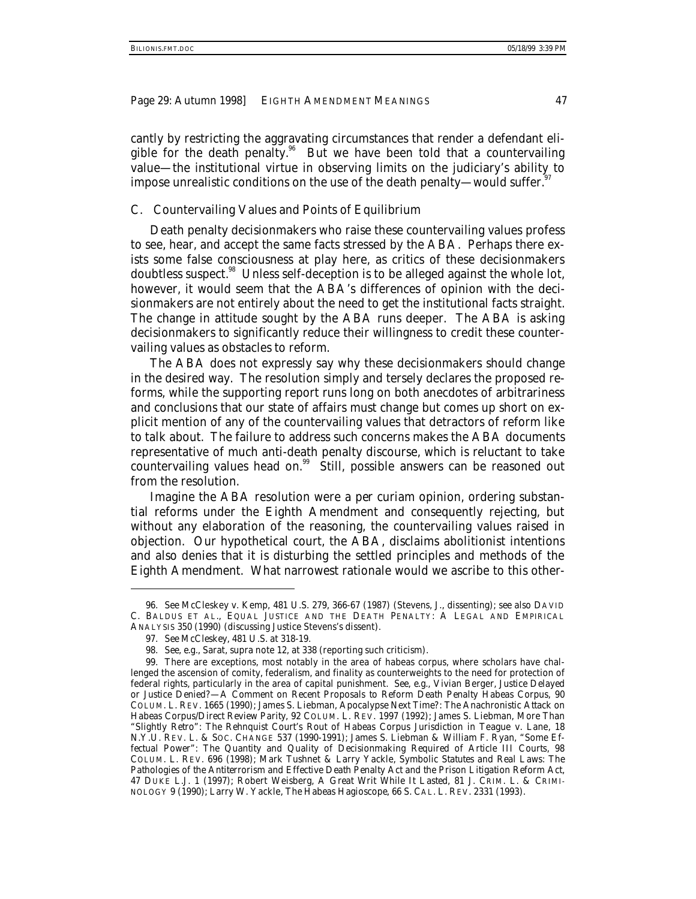cantly by restricting the aggravating circumstances that render a defendant eligible for the death penalty.<sup>96</sup> But we have been told that a countervailing value—the institutional virtue in observing limits on the judiciary's ability to impose unrealistic conditions on the use of the death penalty—would suffer. $\frac{5}{2}$ 

## C. Countervailing Values and Points of Equilibrium

Death penalty decisionmakers who raise these countervailing values profess to see, hear, and accept the same facts stressed by the ABA. Perhaps there exists some false consciousness at play here, as critics of these decisionmakers doubtless suspect.98 Unless self-deception is to be alleged against the whole lot, however, it would seem that the ABA's differences of opinion with the decisionmakers are not entirely about the need to get the institutional facts straight. The change in attitude sought by the ABA runs deeper. The ABA is asking decisionmakers to significantly reduce their willingness to credit these countervailing values as obstacles to reform.

The ABA does not expressly say why these decisionmakers should change in the desired way. The resolution simply and tersely declares the proposed reforms, while the supporting report runs long on both anecdotes of arbitrariness and conclusions that our state of affairs must change but comes up short on explicit mention of any of the countervailing values that detractors of reform like to talk about. The failure to address such concerns makes the ABA documents representative of much anti-death penalty discourse, which is reluctant to take countervailing values head on.<sup>99</sup> Still, possible answers can be reasoned out from the resolution.

Imagine the ABA resolution were a *per curiam* opinion, ordering substantial reforms under the Eighth Amendment and consequently rejecting, but without any elaboration of the reasoning, the countervailing values raised in objection. Our hypothetical court, the ABA, disclaims abolitionist intentions and also denies that it is disturbing the settled principles and methods of the Eighth Amendment. What narrowest rationale would we ascribe to this other-

<sup>96.</sup> *See* McCleskey v. Kemp, 481 U.S. 279, 366-67 (1987) (Stevens, J., dissenting); *see also* DAVID C. BALDUS ET AL., EQUAL JUSTICE AND THE DEATH PENALTY: A LEGAL AND EMPIRICAL ANALYSIS 350 (1990) (discussing Justice Stevens's dissent).

<sup>97.</sup> *See McCleskey*, 481 U.S. at 318-19.

<sup>98.</sup> *See, e.g.*, Sarat, *supra* note 12, at 338 (reporting such criticism).

<sup>99.</sup> There are exceptions, most notably in the area of habeas corpus, where scholars have challenged the ascension of comity, federalism, and finality as counterweights to the need for protection of federal rights, particularly in the area of capital punishment. *See, e.g.*, Vivian Berger, *Justice Delayed or Justice Denied?—A Comment on Recent Proposals to Reform Death Penalty Habeas Corpus*, 90 COLUM. L. REV. 1665 (1990); James S. Liebman, *Apocalypse Next Time?: The Anachronistic Attack on Habeas Corpus/Direct Review Parity*, 92 COLUM. L. REV. 1997 (1992); James S. Liebman, *More Than* "Slightly Retro": The Rehnquist Court's Rout of Habeas Corpus Jurisdiction in Teague v. Lane, 18 N.Y.U. REV. L. & SOC. CHANGE 537 (1990-1991); James S. Liebman & William F. Ryan, *"Some Effectual Power": The Quantity and Quality of Decisionmaking Required of Article III Courts*, 98 COLUM. L. REV. 696 (1998); Mark Tushnet & Larry Yackle, *Symbolic Statutes and Real Laws: The Pathologies of the Antiterrorism and Effective Death Penalty Act and the Prison Litigation Reform Act*, 47 DUKE L.J. 1 (1997); Robert Weisberg, *A Great Writ While It Lasted*, 81 J. CRIM. L. & CRIMI-NOLOGY 9 (1990); Larry W. Yackle, *The Habeas Hagioscope*, 66 S. CAL. L. REV. 2331 (1993).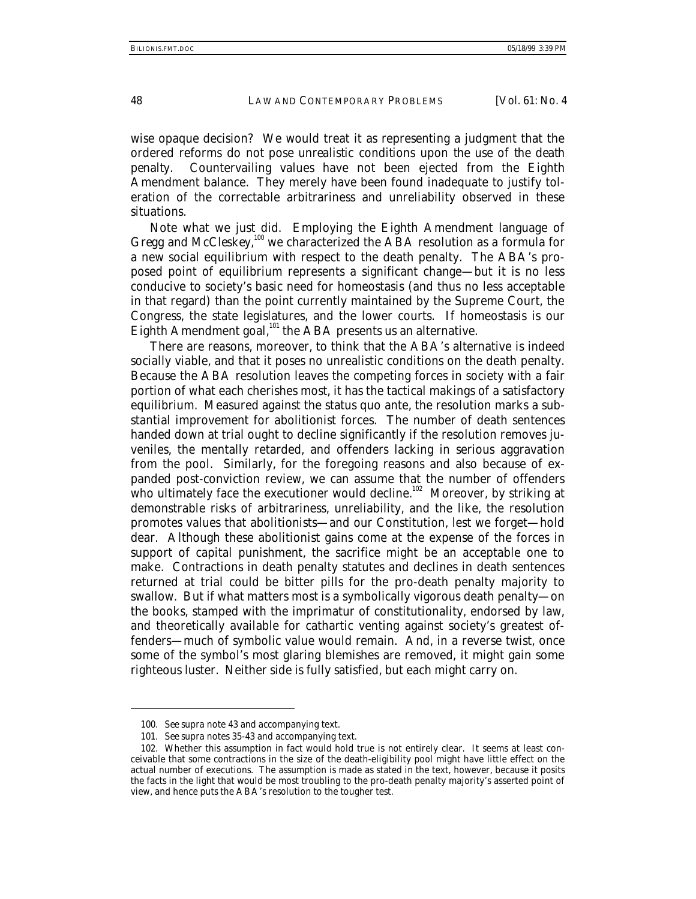wise opaque decision? We would treat it as representing a judgment that the ordered reforms *do not pose unrealistic conditions upon the use of the death penalty*. Countervailing values have not been ejected from the Eighth Amendment balance. They merely have been found inadequate to justify toleration of the correctable arbitrariness and unreliability observed in these situations.

Note what we just did. Employing the Eighth Amendment language of *Gregg* and *McCleskey*, 100 we characterized the ABA resolution as a formula for a new social equilibrium with respect to the death penalty. The ABA's proposed point of equilibrium represents a significant change—but it is no less conducive to society's basic need for homeostasis (and thus no less acceptable in that regard) than the point currently maintained by the Supreme Court, the Congress, the state legislatures, and the lower courts. If homeostasis is our Eighth Amendment goal,<sup>101</sup> the ABA presents us an alternative.

There are reasons, moreover, to think that the ABA's alternative is indeed socially viable, and that it poses no unrealistic conditions on the death penalty. Because the ABA resolution leaves the competing forces in society with a fair portion of what each cherishes most, it has the tactical makings of a satisfactory equilibrium. Measured against the status quo ante, the resolution marks a substantial improvement for abolitionist forces. The number of death sentences handed down at trial ought to decline significantly if the resolution removes juveniles, the mentally retarded, and offenders lacking in serious aggravation from the pool. Similarly, for the foregoing reasons and also because of expanded post-conviction review, we can assume that the number of offenders who ultimately face the executioner would decline.<sup>102</sup> Moreover, by striking at demonstrable risks of arbitrariness, unreliability, and the like, the resolution promotes values that abolitionists—and our Constitution, lest we forget—hold dear. Although these abolitionist gains come at the expense of the forces in support of capital punishment, the sacrifice might be an acceptable one to make. Contractions in death penalty statutes and declines in death sentences returned at trial could be bitter pills for the pro-death penalty majority to swallow. But if what matters most is a symbolically vigorous death penalty—on the books, stamped with the imprimatur of constitutionality, endorsed by law, and theoretically available for cathartic venting against society's greatest offenders—much of symbolic value would remain. And, in a reverse twist, once some of the symbol's most glaring blemishes are removed, it might gain some righteous luster. Neither side is fully satisfied, but each might carry on.

<sup>100.</sup> *See supra* note 43 and accompanying text.

<sup>101.</sup> *See supra* notes 35-43 and accompanying text.

<sup>102.</sup> Whether this assumption in fact would hold true is not entirely clear. It seems at least conceivable that some contractions in the size of the death-eligibility pool might have little effect on the actual number of executions. The assumption is made as stated in the text, however, because it posits the facts in the light that would be most troubling to the pro-death penalty majority's asserted point of view, and hence puts the ABA's resolution to the tougher test.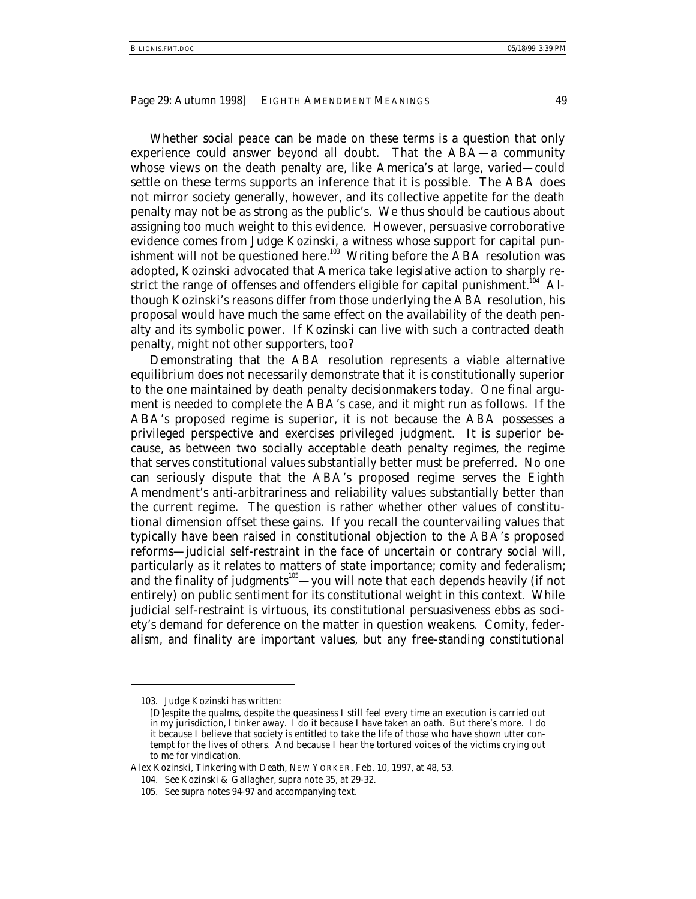Whether social peace can be made on these terms is a question that only experience could answer beyond all doubt. That the ABA—a community whose views on the death penalty are, like America's at large, varied—could settle on these terms supports an inference that it is possible. The ABA does not mirror society generally, however, and its collective appetite for the death penalty may not be as strong as the public's. We thus should be cautious about assigning too much weight to this evidence. However, persuasive corroborative evidence comes from Judge Kozinski, a witness whose support for capital punishment will not be questioned here.<sup>103</sup> Writing before the ABA resolution was adopted, Kozinski advocated that America take legislative action to sharply restrict the range of offenses and offenders eligible for capital punishment.<sup>104</sup> Although Kozinski's reasons differ from those underlying the ABA resolution, his proposal would have much the same effect on the availability of the death penalty and its symbolic power. If Kozinski can live with such a contracted death penalty, might not other supporters, too?

Demonstrating that the ABA resolution represents a viable alternative equilibrium does not necessarily demonstrate that it is constitutionally superior to the one maintained by death penalty decisionmakers today. One final argument is needed to complete the ABA's case, and it might run as follows. If the ABA's proposed regime is superior, it is not because the ABA possesses a privileged perspective and exercises privileged judgment. It is superior because, as between two socially acceptable death penalty regimes, the regime that serves constitutional values substantially better must be preferred. No one can seriously dispute that the ABA's proposed regime serves the Eighth Amendment's anti-arbitrariness and reliability values substantially better than the current regime. The question is rather whether other values of constitutional dimension offset these gains. If you recall the countervailing values that typically have been raised in constitutional objection to the ABA's proposed reforms—judicial self-restraint in the face of uncertain or contrary social will, particularly as it relates to matters of state importance; comity and federalism; and the finality of judgments<sup>105</sup>—you will note that each depends heavily (if not entirely) on public sentiment for its constitutional weight in this context. While judicial self-restraint is virtuous, its constitutional persuasiveness ebbs as society's demand for deference on the matter in question weakens. Comity, federalism, and finality are important values, but any free-standing constitutional

<sup>103.</sup> Judge Kozinski has written:

<sup>[</sup>D]espite the qualms, despite the queasiness I still feel every time an execution is carried out in my jurisdiction, I tinker away. I do it because I have taken an oath. But there's more. I do it because I believe that society is entitled to take the life of those who have shown utter contempt for the lives of others. And because I hear the tortured voices of the victims crying out to me for vindication.

Alex Kozinski, *Tinkering with Death*, NEW YORKER, Feb. 10, 1997, at 48, 53.

<sup>104.</sup> *See* Kozinski & Gallagher, *supra* note 35, at 29-32.

<sup>105.</sup> *See supra* notes 94-97 and accompanying text.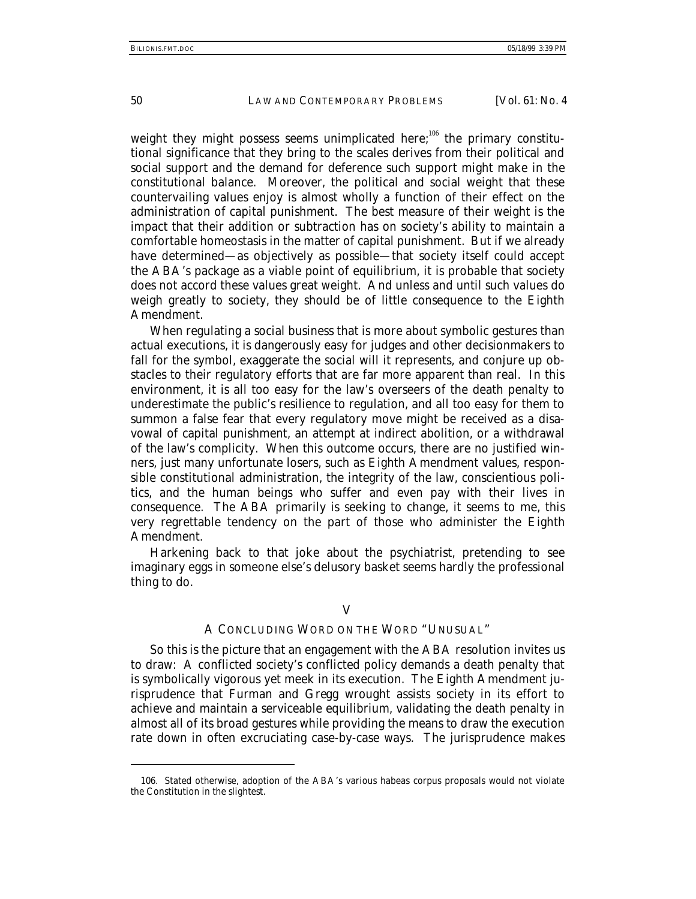weight they might possess seems unimplicated here; $106$  the primary constitutional significance that they bring to the scales derives from their political and social support and the demand for deference such support might make in the constitutional balance. Moreover, the political and social weight that these countervailing values enjoy is almost wholly a function of their effect on the administration of capital punishment. The best measure of their weight is the impact that their addition or subtraction has on society's ability to maintain a comfortable homeostasis in the matter of capital punishment. But if we already have determined—as objectively as possible—that society itself could accept the ABA's package as a viable point of equilibrium, it is probable that society does not accord these values great weight. And unless and until such values do weigh greatly to society, they should be of little consequence to the Eighth Amendment.

When regulating a social business that is more about symbolic gestures than actual executions, it is dangerously easy for judges and other decisionmakers to fall for the symbol, exaggerate the social will it represents, and conjure up obstacles to their regulatory efforts that are far more apparent than real. In this environment, it is all too easy for the law's overseers of the death penalty to underestimate the public's resilience to regulation, and all too easy for them to summon a false fear that every regulatory move might be received as a disavowal of capital punishment, an attempt at indirect abolition, or a withdrawal of the law's complicity. When this outcome occurs, there are no justified winners, just many unfortunate losers, such as Eighth Amendment values, responsible constitutional administration, the integrity of the law, conscientious politics, and the human beings who suffer and even pay with their lives in consequence. The ABA primarily is seeking to change, it seems to me, this very regrettable tendency on the part of those who administer the Eighth Amendment.

Harkening back to that joke about the psychiatrist, pretending to see imaginary eggs in someone else's delusory basket seems hardly the professional thing to do.

V

## A CONCLUDING WORD ON THE WORD "UNUSUAL"

So this is the picture that an engagement with the ABA resolution invites us to draw: A conflicted society's conflicted policy demands a death penalty that is symbolically vigorous yet meek in its execution. The Eighth Amendment jurisprudence that *Furman* and *Gregg* wrought assists society in its effort to achieve and maintain a serviceable equilibrium, validating the death penalty in almost all of its broad gestures while providing the means to draw the execution rate down in often excruciating case-by-case ways. The jurisprudence makes

<sup>106.</sup> Stated otherwise, adoption of the ABA's various habeas corpus proposals would not violate the Constitution in the slightest.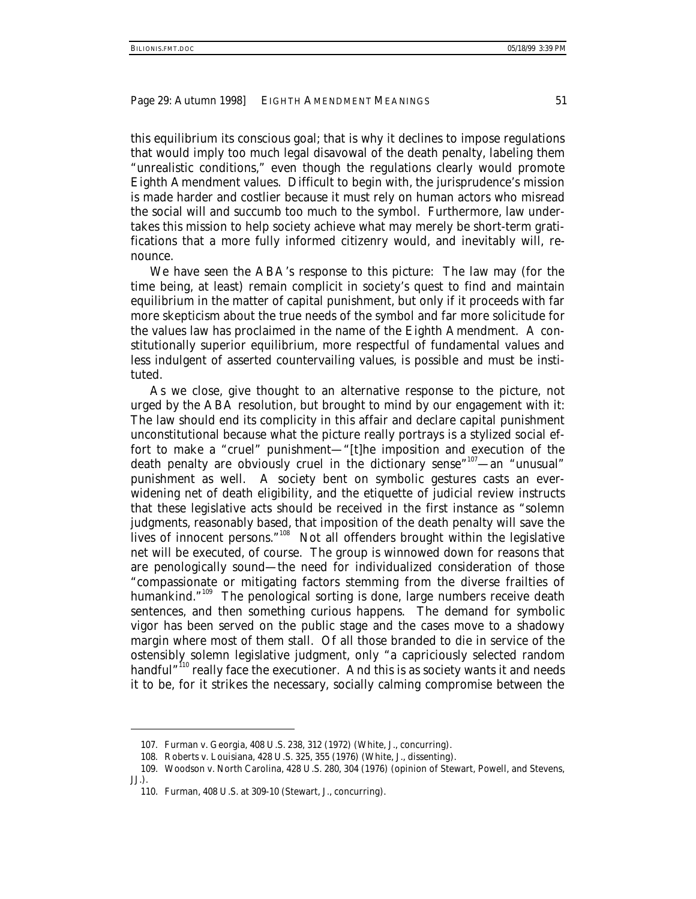this equilibrium its conscious goal; that is why it declines to impose regulations that would imply too much legal disavowal of the death penalty, labeling them "unrealistic conditions," even though the regulations clearly would promote Eighth Amendment values. Difficult to begin with, the jurisprudence's mission is made harder and costlier because it must rely on human actors who misread the social will and succumb too much to the symbol. Furthermore, law undertakes this mission to help society achieve what may merely be short-term gratifications that a more fully informed citizenry would, and inevitably will, renounce.

We have seen the ABA's response to this picture: The law may (for the time being, at least) remain complicit in society's quest to find and maintain equilibrium in the matter of capital punishment, but only if it proceeds with far more skepticism about the true needs of the symbol and far more solicitude for the values law has proclaimed in the name of the Eighth Amendment. A constitutionally superior equilibrium, more respectful of fundamental values and less indulgent of asserted countervailing values, is possible and must be instituted.

As we close, give thought to an alternative response to the picture, not urged by the ABA resolution, but brought to mind by our engagement with it: The law should end its complicity in this affair and declare capital punishment unconstitutional because what the picture really portrays is a stylized social effort to make a "cruel" punishment—"[t]he imposition and execution of the death penalty are obviously cruel in the dictionary sense"<sup>107</sup>—an "unusual" punishment as well. A society bent on symbolic gestures casts an everwidening net of death eligibility, and the etiquette of judicial review instructs that these legislative acts should be received in the first instance as "solemn judgments, reasonably based, that imposition of the death penalty will save the lives of innocent persons."108 Not all offenders brought within the legislative net will be executed, of course. The group is winnowed down for reasons that are penologically sound—the need for individualized consideration of those "compassionate or mitigating factors stemming from the diverse frailties of humankind."<sup>109</sup> The penological sorting is done, large numbers receive death sentences, and then something curious happens. The demand for symbolic vigor has been served on the public stage and the cases move to a shadowy margin where most of them stall. Of all those branded to die in service of the ostensibly solemn legislative judgment, only "a capriciously selected random handful"<sup>110</sup> really face the executioner. And this is as society wants it and needs it to be, for it strikes the necessary, socially calming compromise between the

<sup>107.</sup> Furman v. Georgia, 408 U.S. 238, 312 (1972) (White, J., concurring).

<sup>108.</sup> Roberts v. Louisiana, 428 U.S. 325, 355 (1976) (White, J., dissenting).

<sup>109.</sup> Woodson v. North Carolina, 428 U.S. 280, 304 (1976) (opinion of Stewart, Powell, and Stevens, JJ.).

<sup>110.</sup> *Furman*, 408 U.S. at 309-10 (Stewart, J., concurring).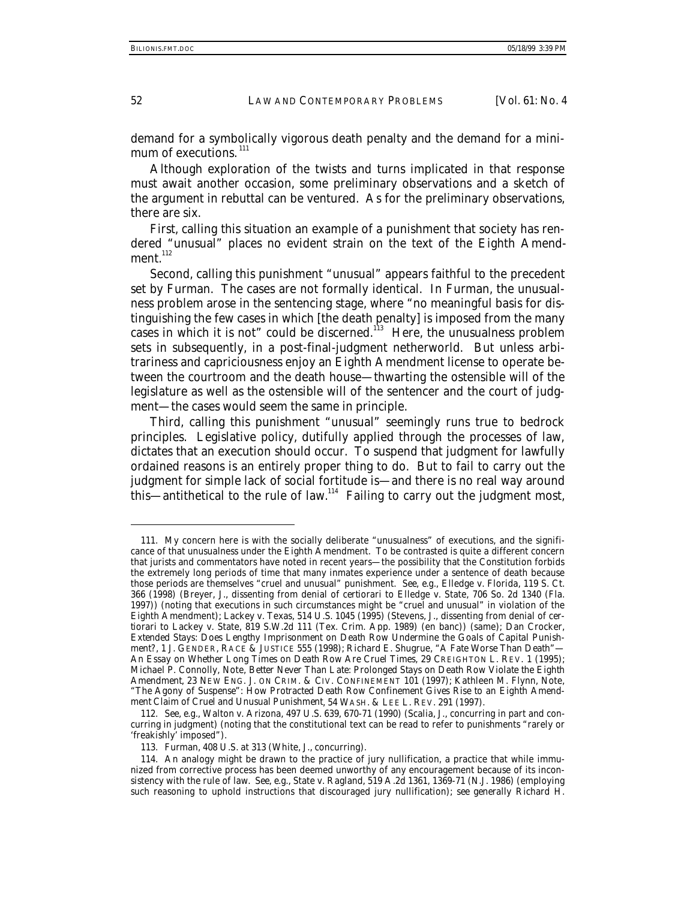demand for a symbolically vigorous death penalty and the demand for a minimum of executions.<sup>111</sup>

Although exploration of the twists and turns implicated in that response must await another occasion, some preliminary observations and a sketch of the argument in rebuttal can be ventured. As for the preliminary observations, there are six.

First, calling this situation an example of a punishment that society has rendered "unusual" places no evident strain on the text of the Eighth Amend $ment.<sup>112</sup>$ 

Second, calling this punishment "unusual" appears faithful to the precedent set by *Furman*. The cases are not formally identical. In *Furman*, the unusualness problem arose in the sentencing stage, where "no meaningful basis for distinguishing the few cases in which [the death penalty] is imposed from the many cases in which it is not" could be discerned.<sup>113</sup> Here, the unusualness problem sets in subsequently, in a post-final-judgment netherworld. But unless arbitrariness and capriciousness enjoy an Eighth Amendment license to operate between the courtroom and the death house—thwarting the ostensible will of the legislature as well as the ostensible will of the sentencer and the court of judgment—the cases would seem the same in principle.

Third, calling this punishment "unusual" seemingly runs true to bedrock principles. Legislative policy, dutifully applied through the processes of law, dictates that an execution should occur. To suspend that judgment for lawfully ordained reasons is an entirely proper thing to do. But to fail to carry out the judgment for simple lack of social fortitude is—and there is no real way around this—antithetical to the rule of law. $114$  Failing to carry out the judgment most,

<sup>111.</sup> My concern here is with the socially deliberate "unusualness" of executions, and the significance of that unusualness under the Eighth Amendment. To be contrasted is quite a different concern that jurists and commentators have noted in recent years—the possibility that the Constitution forbids the extremely long periods of time that many inmates experience under a sentence of death because those periods are themselves "cruel and unusual" punishment. *See, e.g.*, Elledge v. Florida, 119 S. Ct. 366 (1998) (Breyer, J., dissenting from denial of *certiorari* to Elledge v. State, 706 So. 2d 1340 (Fla. 1997)) (noting that executions in such circumstances might be "cruel and unusual" in violation of the Eighth Amendment); Lackey v. Texas, 514 U.S. 1045 (1995) (Stevens, J., dissenting from denial of *certiorari* to Lackey v. State, 819 S.W.2d 111 (Tex. Crim. App. 1989) (en banc)) (same); Dan Crocker, *Extended Stays: Does Lengthy Imprisonment on Death Row Undermine the Goals of Capital Punishment?*, 1 J. GENDER, RACE & JUSTICE 555 (1998); Richard E. Shugrue, *"A Fate Worse Than Death"— An Essay on Whether Long Times on Death Row Are Cruel Times*, 29 CREIGHTON L. REV. 1 (1995); Michael P. Connolly, Note, *Better Never Than Late: Prolonged Stays on Death Row Violate the Eighth Amendment*, 23 NEW ENG. J. ON CRIM. & CIV. CONFINEMENT 101 (1997); Kathleen M. Flynn, Note, *"The Agony of Suspense": How Protracted Death Row Confinement Gives Rise to an Eighth Amendment Claim of Cruel and Unusual Punishment*, 54 WASH. & LEE L. REV. 291 (1997).

<sup>112.</sup> *See, e.g.*, Walton v. Arizona, 497 U.S. 639, 670-71 (1990) (Scalia, J., concurring in part and concurring in judgment) (noting that the constitutional text can be read to refer to punishments "rarely or 'freakishly' imposed").

<sup>113.</sup> *Furman*, 408 U.S. at 313 (White, J., concurring).

<sup>114.</sup> An analogy might be drawn to the practice of jury nullification, a practice that while immunized from corrective process has been deemed unworthy of any encouragement because of its inconsistency with the rule of law. *See, e.g.*, State v. Ragland, 519 A.2d 1361, 1369-71 (N.J. 1986) (employing such reasoning to uphold instructions that discouraged jury nullification); *see generally* Richard H.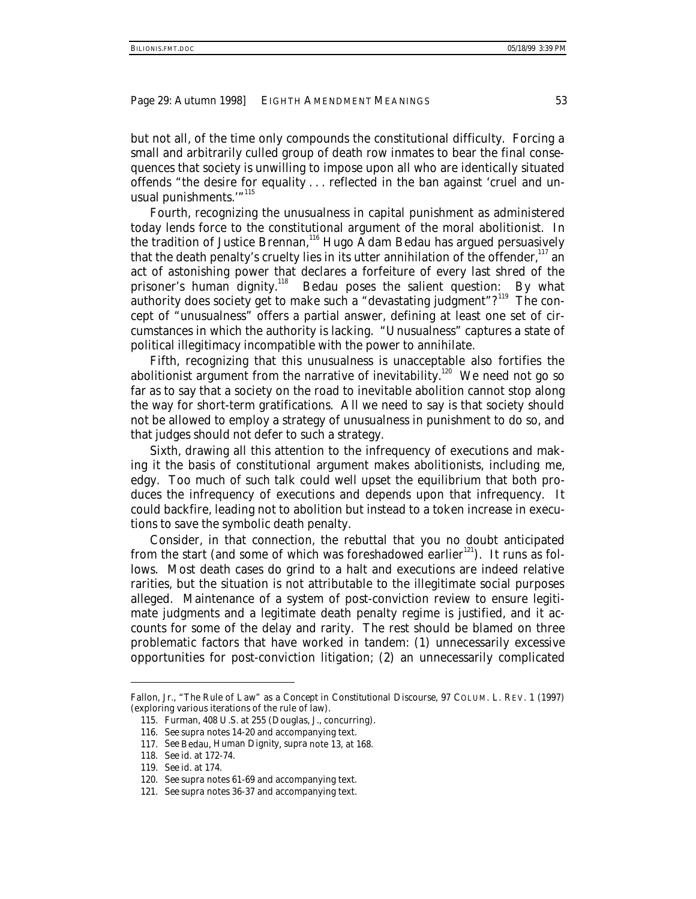but not all, of the time only compounds the constitutional difficulty. Forcing a small and arbitrarily culled group of death row inmates to bear the final consequences that society is unwilling to impose upon all who are identically situated offends "the desire for equality . . . reflected in the ban against 'cruel and unusual punishments.'"<sup>115</sup>

Fourth, recognizing the unusualness in capital punishment as administered today lends force to the constitutional argument of the moral abolitionist. In the tradition of Justice Brennan,<sup>116</sup> Hugo Adam Bedau has argued persuasively that the death penalty's cruelty lies in its utter annihilation of the offender,  $^{\scriptscriptstyle 117}$  an act of astonishing power that declares a forfeiture of every last shred of the prisoner's human dignity.<sup>118</sup> Bedau poses the salient question: By what authority does society get to make such a "devastating judgment"?<sup>119</sup> The concept of "unusualness" offers a partial answer, defining at least one set of circumstances in which the authority is lacking. "Unusualness" captures a state of political illegitimacy incompatible with the power to annihilate.

Fifth, recognizing that this unusualness is unacceptable also fortifies the abolitionist argument from the narrative of inevitability.<sup>120</sup> We need not go so far as to say that a society on the road to inevitable abolition cannot stop along the way for short-term gratifications. All we need to say is that society should not be allowed to employ a strategy of unusualness in punishment to do so, and that judges should not defer to such a strategy.

Sixth, drawing all this attention to the infrequency of executions and making it the basis of constitutional argument makes abolitionists, including me, edgy. Too much of such talk could well upset the equilibrium that both produces the infrequency of executions and depends upon that infrequency. It could backfire, leading not to abolition but instead to a token increase in executions to save the symbolic death penalty.

Consider, in that connection, the rebuttal that you no doubt anticipated from the start (and some of which was foreshadowed earlier<sup>121</sup>). It runs as follows. Most death cases do grind to a halt and executions are indeed relative rarities, but the situation is not attributable to the illegitimate social purposes alleged. Maintenance of a system of post-conviction review to ensure legitimate judgments and a legitimate death penalty regime is justified, and it accounts for some of the delay and rarity. The rest should be blamed on three problematic factors that have worked in tandem: (1) unnecessarily excessive opportunities for post-conviction litigation; (2) an unnecessarily complicated

Fallon, Jr., *"The Rule of Law" as a Concept in Constitutional Discourse*, 97 COLUM. L. REV. 1 (1997) (exploring various iterations of the rule of law).

<sup>115.</sup> *Furman*, 408 U.S. at 255 (Douglas, J., concurring).

<sup>116.</sup> *See supra* notes 14-20 and accompanying text.

<sup>117.</sup> *See* Bedau, *Human Dignity*, *supra* note 13, at 168.

<sup>118.</sup> *See id*. at 172-74.

<sup>119.</sup> *See id*. at 174.

<sup>120.</sup> *See supra* notes 61-69 and accompanying text.

<sup>121.</sup> *See supra* notes 36-37 and accompanying text.